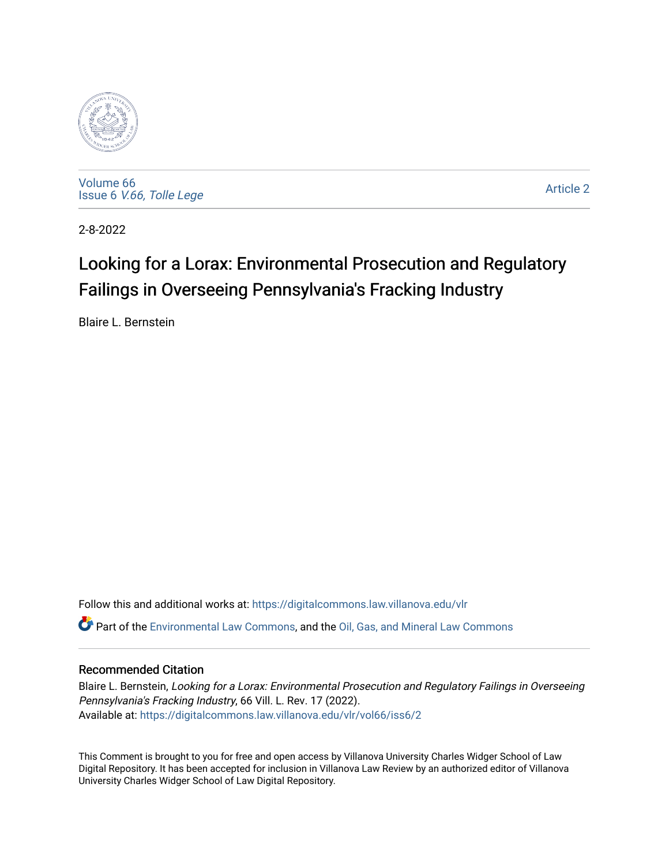

[Volume 66](https://digitalcommons.law.villanova.edu/vlr/vol66) Issue 6 [V.66, Tolle Lege](https://digitalcommons.law.villanova.edu/vlr/vol66/iss6) 

[Article 2](https://digitalcommons.law.villanova.edu/vlr/vol66/iss6/2) 

2-8-2022

# Looking for a Lorax: Environmental Prosecution and Regulatory Failings in Overseeing Pennsylvania's Fracking Industry

Blaire L. Bernstein

Follow this and additional works at: [https://digitalcommons.law.villanova.edu/vlr](https://digitalcommons.law.villanova.edu/vlr?utm_source=digitalcommons.law.villanova.edu%2Fvlr%2Fvol66%2Fiss6%2F2&utm_medium=PDF&utm_campaign=PDFCoverPages) Part of the [Environmental Law Commons](http://network.bepress.com/hgg/discipline/599?utm_source=digitalcommons.law.villanova.edu%2Fvlr%2Fvol66%2Fiss6%2F2&utm_medium=PDF&utm_campaign=PDFCoverPages), and the [Oil, Gas, and Mineral Law Commons](http://network.bepress.com/hgg/discipline/864?utm_source=digitalcommons.law.villanova.edu%2Fvlr%2Fvol66%2Fiss6%2F2&utm_medium=PDF&utm_campaign=PDFCoverPages) 

## Recommended Citation

Blaire L. Bernstein, Looking for a Lorax: Environmental Prosecution and Regulatory Failings in Overseeing Pennsylvania's Fracking Industry, 66 Vill. L. Rev. 17 (2022). Available at: [https://digitalcommons.law.villanova.edu/vlr/vol66/iss6/2](https://digitalcommons.law.villanova.edu/vlr/vol66/iss6/2?utm_source=digitalcommons.law.villanova.edu%2Fvlr%2Fvol66%2Fiss6%2F2&utm_medium=PDF&utm_campaign=PDFCoverPages) 

This Comment is brought to you for free and open access by Villanova University Charles Widger School of Law Digital Repository. It has been accepted for inclusion in Villanova Law Review by an authorized editor of Villanova University Charles Widger School of Law Digital Repository.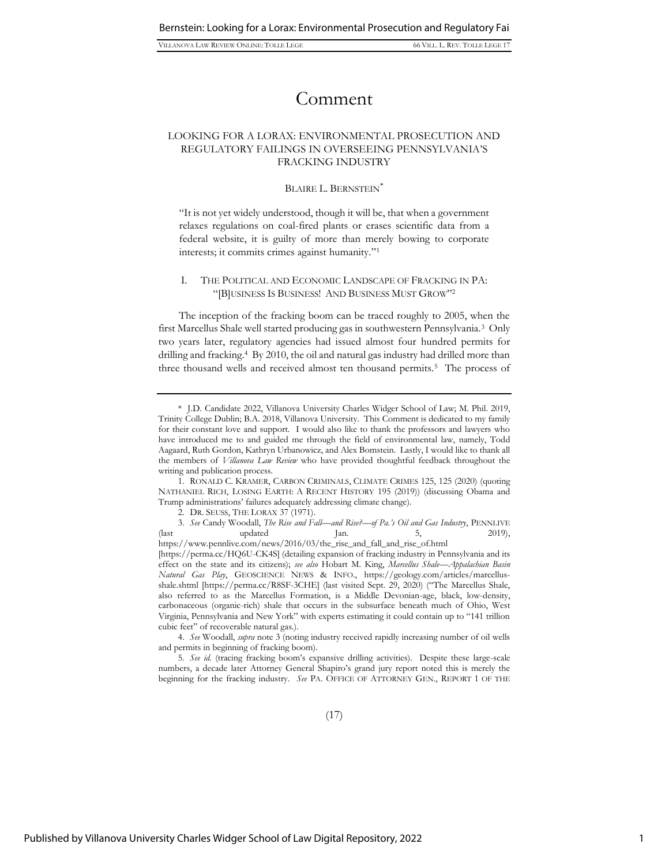VILLANOVA LAW REVIEW ONLINE: TOLLE LEGE 66 VILL. L. REV. TOLLE LEGE 17

## Comment

## LOOKING FOR A LORAX: ENVIRONMENTAL PROSECUTION AND REGULATORY FAILINGS IN OVERSEEING PENNSYLVANIA'S FRACKING INDUSTRY

### BLAIRE L. BERNSTEIN<sup>\*</sup>

"It is not yet widely understood, though it will be, that when a government relaxes regulations on coal-fired plants or erases scientific data from a federal website, it is guilty of more than merely bowing to corporate interests; it commits crimes against humanity." 1

## I. THE POLITICAL AND ECONOMIC LANDSCAPE OF FRACKING IN PA: "[B]USINESS IS BUSINESS! AND BUSINESS MUST GROW" 2

The inception of the fracking boom can be traced roughly to 2005, when the first Marcellus Shale well started producing gas in southwestern Pennsylvania.<sup>3</sup> Only two years later, regulatory agencies had issued almost four hundred permits for drilling and fracking.<sup>4</sup> By 2010, the oil and natural gas industry had drilled more than three thousand wells and received almost ten thousand permits.<sup>5</sup> The process of

3. *See* Candy Woodall, *The Rise and Fall—and Rise?—of Pa.'s Oil and Gas Industry*, PENNLIVE (last updated Jan. 5, 2019), https://www.pennlive.com/news/2016/03/the\_rise\_and\_fall\_and\_rise\_of.html

4. *See* Woodall, *supra* note 3 (noting industry received rapidly increasing number of oil wells and permits in beginning of fracking boom).

5. *See id.* (tracing fracking boom's expansive drilling activities). Despite these large-scale numbers, a decade later Attorney General Shapiro's grand jury report noted this is merely the beginning for the fracking industry. *See* PA. OFFICE OF ATTORNEY GEN., REPORT 1 OF THE

<sup>\*</sup> J.D. Candidate 2022, Villanova University Charles Widger School of Law; M. Phil. 2019, Trinity College Dublin; B.A. 2018, Villanova University. This Comment is dedicated to my family for their constant love and support. I would also like to thank the professors and lawyers who have introduced me to and guided me through the field of environmental law, namely, Todd Aagaard, Ruth Gordon, Kathryn Urbanowicz, and Alex Bomstein. Lastly, I would like to thank all the members of *Villanova Law Review* who have provided thoughtful feedback throughout the writing and publication process.

<sup>1.</sup> RONALD C. KRAMER, CARBON CRIMINALS, CLIMATE CRIMES 125, 125 (2020) (quoting NATHANIEL RICH, LOSING EARTH: A RECENT HISTORY 195 (2019)) (discussing Obama and Trump administrations' failures adequately addressing climate change).

<sup>2.</sup> DR. SEUSS, THE LORAX 37 (1971).

<sup>[</sup>https://perma.cc/HQ6U-CK4S] (detailing expansion of fracking industry in Pennsylvania and its effect on the state and its citizens); *see also* Hobart M. King, *Marcellus Shale—Appalachian Basin Natural Gas Play*, GEOSCIENCE NEWS & INFO., https://geology.com/articles/marcellusshale.shtml [https://perma.cc/R8SF-3CHE] (last visited Sept. 29, 2020) ("The Marcellus Shale, also referred to as the Marcellus Formation, is a Middle Devonian-age, black, low-density, carbonaceous (organic-rich) shale that occurs in the subsurface beneath much of Ohio, West Virginia, Pennsylvania and New York" with experts estimating it could contain up to "141 trillion cubic feet" of recoverable natural gas.).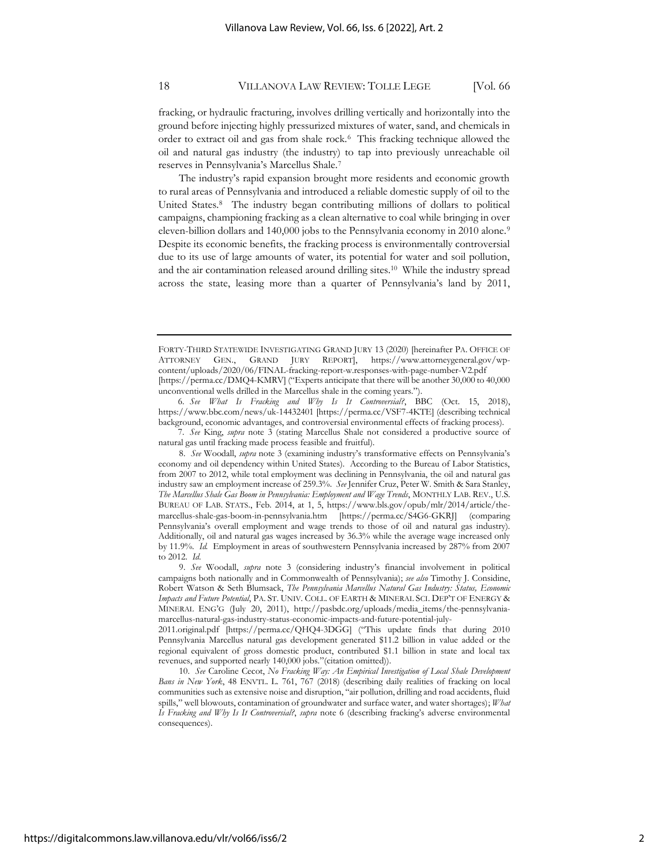fracking, or hydraulic fracturing, involves drilling vertically and horizontally into the ground before injecting highly pressurized mixtures of water, sand, and chemicals in order to extract oil and gas from shale rock.<sup>6</sup> This fracking technique allowed the oil and natural gas industry (the industry) to tap into previously unreachable oil reserves in Pennsylvania's Marcellus Shale.<sup>7</sup>

The industry's rapid expansion brought more residents and economic growth to rural areas of Pennsylvania and introduced a reliable domestic supply of oil to the United States.<sup>8</sup> The industry began contributing millions of dollars to political campaigns, championing fracking as a clean alternative to coal while bringing in over eleven-billion dollars and 140,000 jobs to the Pennsylvania economy in 2010 alone.<sup>9</sup> Despite its economic benefits, the fracking process is environmentally controversial due to its use of large amounts of water, its potential for water and soil pollution, and the air contamination released around drilling sites.<sup>10</sup> While the industry spread across the state, leasing more than a quarter of Pennsylvania's land by 2011,

6. *See What Is Fracking and Why Is It Controversial?*, BBC (Oct. 15, 2018), https://www.bbc.com/news/uk-14432401 [https://perma.cc/VSF7-4KTE] (describing technical background, economic advantages, and controversial environmental effects of fracking process).

7. *See* King, *supra* note 3 (stating Marcellus Shale not considered a productive source of natural gas until fracking made process feasible and fruitful).

8. *See* Woodall, *supra* note 3 (examining industry's transformative effects on Pennsylvania's economy and oil dependency within United States). According to the Bureau of Labor Statistics, from 2007 to 2012, while total employment was declining in Pennsylvania, the oil and natural gas industry saw an employment increase of 259.3%. *See* Jennifer Cruz, Peter W. Smith & Sara Stanley, *The Marcellus Shale Gas Boom in Pennsylvania: Employment and Wage Trends*, MONTHLY LAB. REV., U.S. BUREAU OF LAB. STATS., Feb. 2014, at 1, 5, https://www.bls.gov/opub/mlr/2014/article/themarcellus-shale-gas-boom-in-pennsylvania.htm [https://perma.cc/S4G6-GKRJ] (comparing Pennsylvania's overall employment and wage trends to those of oil and natural gas industry). Additionally, oil and natural gas wages increased by 36.3% while the average wage increased only by 11.9%. *Id.* Employment in areas of southwestern Pennsylvania increased by 287% from 2007 to 2012. *Id*.

9. *See* Woodall, *supra* note 3 (considering industry's financial involvement in political campaigns both nationally and in Commonwealth of Pennsylvania); *see also* Timothy J. Considine, Robert Watson & Seth Blumsack, *The Pennsylvania Marcellus Natural Gas Industry: Status, Economic Impacts and Future Potential*, PA. ST. UNIV. COLL. OF EARTH & MINERAL SCI. DEP'T OF ENERGY & MINERAL ENG'G (July 20, 2011), http://pasbdc.org/uploads/media\_items/the-pennsylvaniamarcellus-natural-gas-industry-status-economic-impacts-and-future-potential-july-

2011.original.pdf [https://perma.cc/QHQ4-3DGG] ("This update finds that during 2010 Pennsylvania Marcellus natural gas development generated \$11.2 billion in value added or the regional equivalent of gross domestic product, contributed \$1.1 billion in state and local tax revenues, and supported nearly 140,000 jobs."(citation omitted)).

10. *See* Caroline Cecot, *No Fracking Way: An Empirical Investigation of Local Shale Development Bans in New York*, 48 ENVTL. L. 761, 767 (2018) (describing daily realities of fracking on local communities such as extensive noise and disruption, "air pollution, drilling and road accidents, fluid spills," well blowouts, contamination of groundwater and surface water, and water shortages); *What Is Fracking and Why Is It Controversial?*, *supra* note 6 (describing fracking's adverse environmental consequences).

FORTY-THIRD STATEWIDE INVESTIGATING GRAND JURY 13 (2020) [hereinafter PA. OFFICE OF ATTORNEY GEN., GRAND JURY REPORT], https://www.attorneygeneral.gov/wpcontent/uploads/2020/06/FINAL-fracking-report-w.responses-with-page-number-V2.pdf [https://perma.cc/DMQ4-KMRV] ("Experts anticipate that there will be another 30,000 to 40,000 unconventional wells drilled in the Marcellus shale in the coming years.").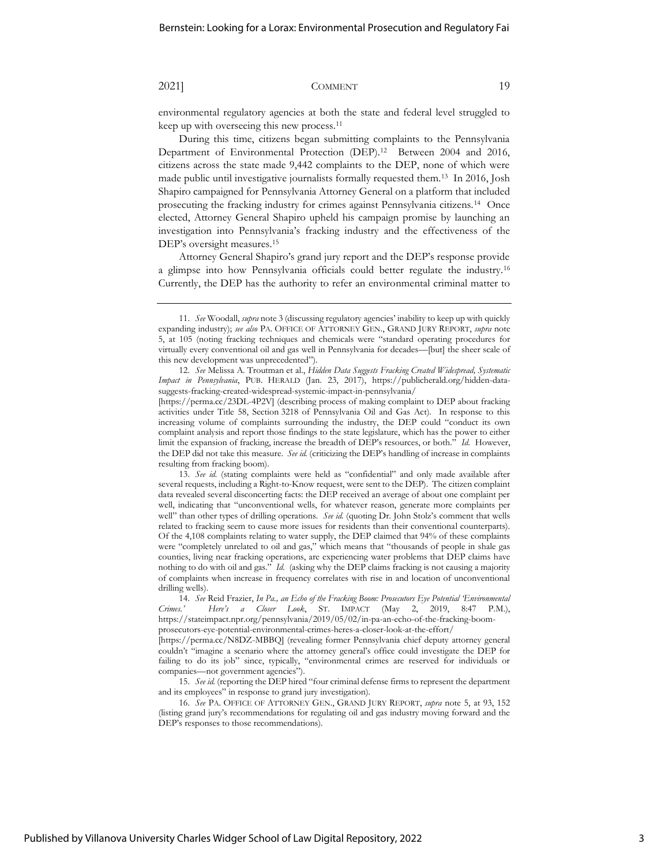environmental regulatory agencies at both the state and federal level struggled to keep up with overseeing this new process.<sup>11</sup>

During this time, citizens began submitting complaints to the Pennsylvania Department of Environmental Protection (DEP).<sup>12</sup> Between 2004 and 2016, citizens across the state made 9,442 complaints to the DEP, none of which were made public until investigative journalists formally requested them.<sup>13</sup> In 2016, Josh Shapiro campaigned for Pennsylvania Attorney General on a platform that included prosecuting the fracking industry for crimes against Pennsylvania citizens.<sup>14</sup> Once elected, Attorney General Shapiro upheld his campaign promise by launching an investigation into Pennsylvania's fracking industry and the effectiveness of the DEP's oversight measures.<sup>15</sup>

Attorney General Shapiro's grand jury report and the DEP's response provide a glimpse into how Pennsylvania officials could better regulate the industry.<sup>16</sup> Currently, the DEP has the authority to refer an environmental criminal matter to

<sup>11.</sup> *See* Woodall, *supra* note 3 (discussing regulatory agencies' inability to keep up with quickly expanding industry); *see also* PA. OFFICE OF ATTORNEY GEN., GRAND JURY REPORT, *supra* note 5, at 105 (noting fracking techniques and chemicals were "standard operating procedures for virtually every conventional oil and gas well in Pennsylvania for decades—[but] the sheer scale of this new development was unprecedented").

<sup>12.</sup> *See* Melissa A. Troutman et al., *Hidden Data Suggests Fracking Created Widespread, Systematic Impact in Pennsylvania*, PUB. HERALD (Jan. 23, 2017), https://publicherald.org/hidden-datasuggests-fracking-created-widespread-systemic-impact-in-pennsylvania/

<sup>[</sup>https://perma.cc/23DL-4P2V] (describing process of making complaint to DEP about fracking activities under Title 58, Section 3218 of Pennsylvania Oil and Gas Act). In response to this increasing volume of complaints surrounding the industry, the DEP could "conduct its own complaint analysis and report those findings to the state legislature, which has the power to either limit the expansion of fracking, increase the breadth of DEP's resources, or both." *Id.* However, the DEP did not take this measure. *See id.* (criticizing the DEP's handling of increase in complaints resulting from fracking boom).

<sup>13.</sup> *See id.* (stating complaints were held as "confidential" and only made available after several requests, including a Right-to-Know request, were sent to the DEP). The citizen complaint data revealed several disconcerting facts: the DEP received an average of about one complaint per well, indicating that "unconventional wells, for whatever reason, generate more complaints per well" than other types of drilling operations. *See id.* (quoting Dr. John Stolz's comment that wells related to fracking seem to cause more issues for residents than their conventional counterparts)*.* Of the 4,108 complaints relating to water supply, the DEP claimed that 94% of these complaints were "completely unrelated to oil and gas," which means that "thousands of people in shale gas counties, living near fracking operations, are experiencing water problems that DEP claims have nothing to do with oil and gas." *Id.* (asking why the DEP claims fracking is not causing a majority of complaints when increase in frequency correlates with rise in and location of unconventional drilling wells).

<sup>14.</sup> *See* Reid Frazier, *In Pa., an Echo of the Fracking Boom: Prosecutors Eye Potential 'Environmental Crimes.' Here's a Closer Look*, ST. IMPACT (May 2, 2019, 8:47 P.M.), https://stateimpact.npr.org/pennsylvania/2019/05/02/in-pa-an-echo-of-the-fracking-boomprosecutors-eye-potential-environmental-crimes-heres-a-closer-look-at-the-effort/

<sup>[</sup>https://perma.cc/N8DZ-MBBQ] (revealing former Pennsylvania chief deputy attorney general couldn't "imagine a scenario where the attorney general's office could investigate the DEP for failing to do its job" since, typically, "environmental crimes are reserved for individuals or companies—not government agencies").

<sup>15.</sup> *See id.* (reporting the DEP hired "four criminal defense firms to represent the department and its employees" in response to grand jury investigation).

<sup>16.</sup> *See* PA. OFFICE OF ATTORNEY GEN., GRAND JURY REPORT, *supra* note 5, at 93, 152 (listing grand jury's recommendations for regulating oil and gas industry moving forward and the DEP's responses to those recommendations).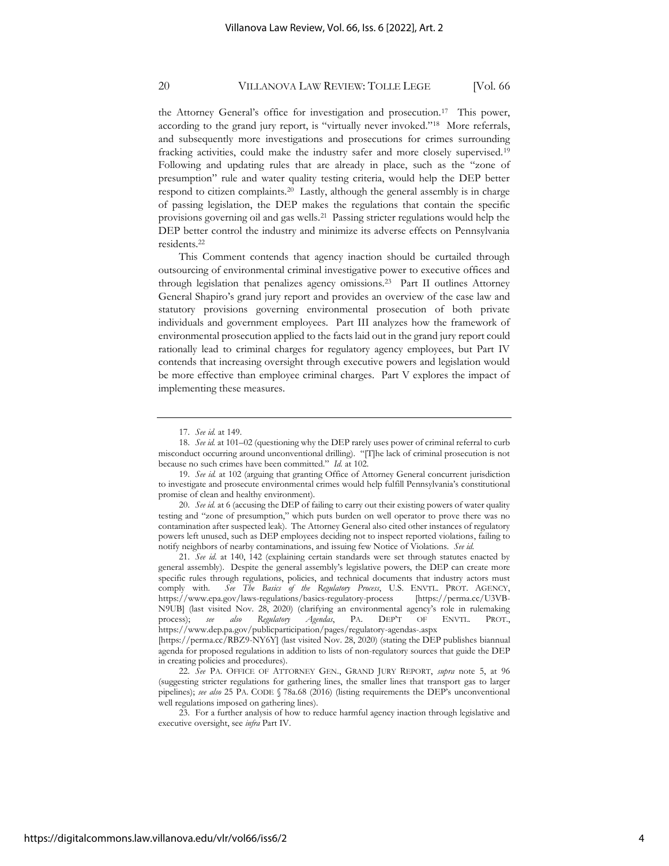the Attorney General's office for investigation and prosecution.<sup>17</sup> This power, according to the grand jury report, is "virtually never invoked."<sup>18</sup> More referrals, and subsequently more investigations and prosecutions for crimes surrounding fracking activities, could make the industry safer and more closely supervised.<sup>19</sup> Following and updating rules that are already in place, such as the "zone of presumption" rule and water quality testing criteria, would help the DEP better respond to citizen complaints.<sup>20</sup> Lastly, although the general assembly is in charge of passing legislation, the DEP makes the regulations that contain the specific provisions governing oil and gas wells.<sup>21</sup> Passing stricter regulations would help the DEP better control the industry and minimize its adverse effects on Pennsylvania residents.<sup>22</sup>

This Comment contends that agency inaction should be curtailed through outsourcing of environmental criminal investigative power to executive offices and through legislation that penalizes agency omissions.<sup>23</sup> Part II outlines Attorney General Shapiro's grand jury report and provides an overview of the case law and statutory provisions governing environmental prosecution of both private individuals and government employees. Part III analyzes how the framework of environmental prosecution applied to the facts laid out in the grand jury report could rationally lead to criminal charges for regulatory agency employees, but Part IV contends that increasing oversight through executive powers and legislation would be more effective than employee criminal charges. Part V explores the impact of implementing these measures.

<sup>17.</sup> *See id.* at 149.

<sup>18.</sup> *See id.* at 101–02 (questioning why the DEP rarely uses power of criminal referral to curb misconduct occurring around unconventional drilling). "[T]he lack of criminal prosecution is not because no such crimes have been committed." *Id.* at 102.

<sup>19.</sup> *See id.* at 102 (arguing that granting Office of Attorney General concurrent jurisdiction to investigate and prosecute environmental crimes would help fulfill Pennsylvania's constitutional promise of clean and healthy environment).

<sup>20.</sup> *See id.* at 6 (accusing the DEP of failing to carry out their existing powers of water quality testing and "zone of presumption," which puts burden on well operator to prove there was no contamination after suspected leak). The Attorney General also cited other instances of regulatory powers left unused, such as DEP employees deciding not to inspect reported violations, failing to notify neighbors of nearby contaminations, and issuing few Notice of Violations. *See id.*

<sup>21.</sup> *See id.* at 140, 142 (explaining certain standards were set through statutes enacted by general assembly). Despite the general assembly's legislative powers, the DEP can create more specific rules through regulations, policies, and technical documents that industry actors must comply with. *See The Basics of the Regulatory Process*, U.S. ENVTL. PROT. AGENCY, https://www.epa.gov/laws-regulations/basics-regulatory-process [https://perma.cc/U3VB-N9UB] (last visited Nov. 28, 2020) (clarifying an environmental agency's role in rulemaking process); *see also Regulatory Agendas*, PA. DEP'T OF ENVTL. PROT., <https://www.dep.pa.gov/publicparticipation/pages/regulatory-agendas-.aspx>

<sup>[</sup>https://perma.cc/RBZ9-NY6Y] (last visited Nov. 28, 2020) (stating the DEP publishes biannual agenda for proposed regulations in addition to lists of non-regulatory sources that guide the DEP in creating policies and procedures).

<sup>22.</sup> *See* PA. OFFICE OF ATTORNEY GEN., GRAND JURY REPORT, *supra* note 5, at 96 (suggesting stricter regulations for gathering lines, the smaller lines that transport gas to larger pipelines); *see also* 25 PA. CODE § 78a.68 (2016) (listing requirements the DEP's unconventional well regulations imposed on gathering lines).

<sup>23.</sup> For a further analysis of how to reduce harmful agency inaction through legislative and executive oversight, see *infra* Part IV.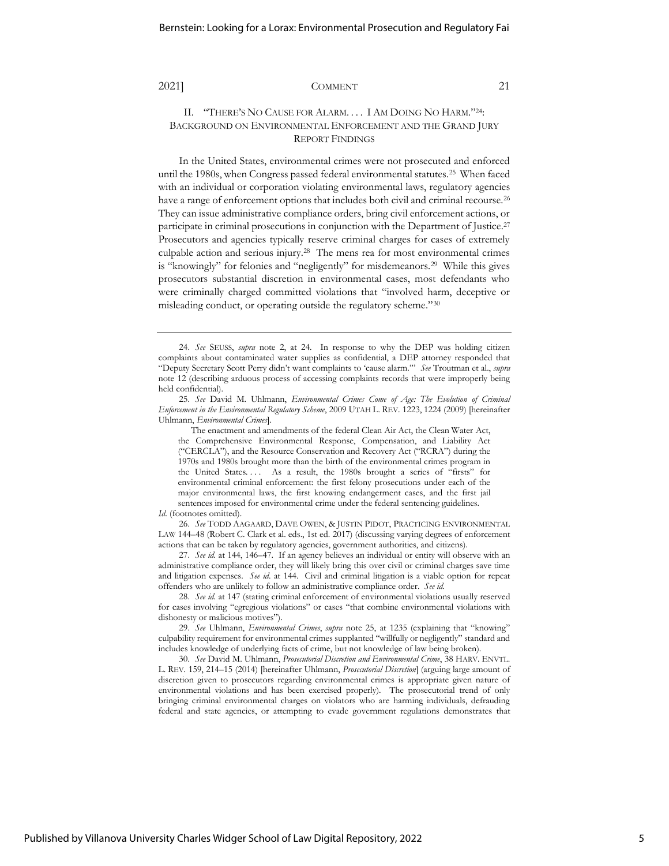## II. "THERE'S NO CAUSE FOR ALARM. . . . I AM DOING NO HARM."24: BACKGROUND ON ENVIRONMENTAL ENFORCEMENT AND THE GRAND JURY REPORT FINDINGS

In the United States, environmental crimes were not prosecuted and enforced until the 1980s, when Congress passed federal environmental statutes.<sup>25</sup> When faced with an individual or corporation violating environmental laws, regulatory agencies have a range of enforcement options that includes both civil and criminal recourse.<sup>26</sup> They can issue administrative compliance orders, bring civil enforcement actions, or participate in criminal prosecutions in conjunction with the Department of Justice. 27 Prosecutors and agencies typically reserve criminal charges for cases of extremely culpable action and serious injury.<sup>28</sup> The mens rea for most environmental crimes is "knowingly" for felonies and "negligently" for misdemeanors.<sup>29</sup> While this gives prosecutors substantial discretion in environmental cases, most defendants who were criminally charged committed violations that "involved harm, deceptive or misleading conduct, or operating outside the regulatory scheme."<sup>30</sup>

The enactment and amendments of the federal Clean Air Act, the Clean Water Act, the Comprehensive Environmental Response, Compensation, and Liability Act ("CERCLA"), and the Resource Conservation and Recovery Act ("RCRA") during the 1970s and 1980s brought more than the birth of the environmental crimes program in the United States. . . . As a result, the 1980s brought a series of "firsts" for environmental criminal enforcement: the first felony prosecutions under each of the major environmental laws, the first knowing endangerment cases, and the first jail sentences imposed for environmental crime under the federal sentencing guidelines.

*Id*. (footnotes omitted).

26. *See* TODD AAGAARD, DAVE OWEN, & JUSTIN PIDOT, PRACTICING ENVIRONMENTAL LAW 144–48 (Robert C. Clark et al. eds., 1st ed. 2017) (discussing varying degrees of enforcement actions that can be taken by regulatory agencies, government authorities, and citizens).

27. *See id.* at 144, 146–47. If an agency believes an individual or entity will observe with an administrative compliance order, they will likely bring this over civil or criminal charges save time and litigation expenses. *See id*. at 144. Civil and criminal litigation is a viable option for repeat offenders who are unlikely to follow an administrative compliance order. *See id.*

28. *See id.* at 147 (stating criminal enforcement of environmental violations usually reserved for cases involving "egregious violations" or cases "that combine environmental violations with dishonesty or malicious motives").

29. *See* Uhlmann, *Environmental Crimes*, *supra* note 25, at 1235 (explaining that "knowing" culpability requirement for environmental crimes supplanted "willfully or negligently" standard and includes knowledge of underlying facts of crime, but not knowledge of law being broken).

30. *See* David M. Uhlmann, *Prosecutorial Discretion and Environmental Crime*, 38 HARV. ENVTL. L. REV. 159, 214–15 (2014) [hereinafter Uhlmann, *Prosecutorial Discretion*] (arguing large amount of discretion given to prosecutors regarding environmental crimes is appropriate given nature of environmental violations and has been exercised properly). The prosecutorial trend of only bringing criminal environmental charges on violators who are harming individuals, defrauding federal and state agencies, or attempting to evade government regulations demonstrates that

<sup>24.</sup> *See* SEUSS, *supra* note 2, at 24. In response to why the DEP was holding citizen complaints about contaminated water supplies as confidential, a DEP attorney responded that "Deputy Secretary Scott Perry didn't want complaints to 'cause alarm.'" *See* Troutman et al., *supra* note 12 (describing arduous process of accessing complaints records that were improperly being held confidential).

<sup>25.</sup> *See* David M. Uhlmann, *Environmental Crimes Come of Age: The Evolution of Criminal Enforcement in the Environmental Regulatory Scheme*, 2009 UTAH L. REV. 1223, 1224 (2009) [hereinafter Uhlmann, *Environmental Crimes*].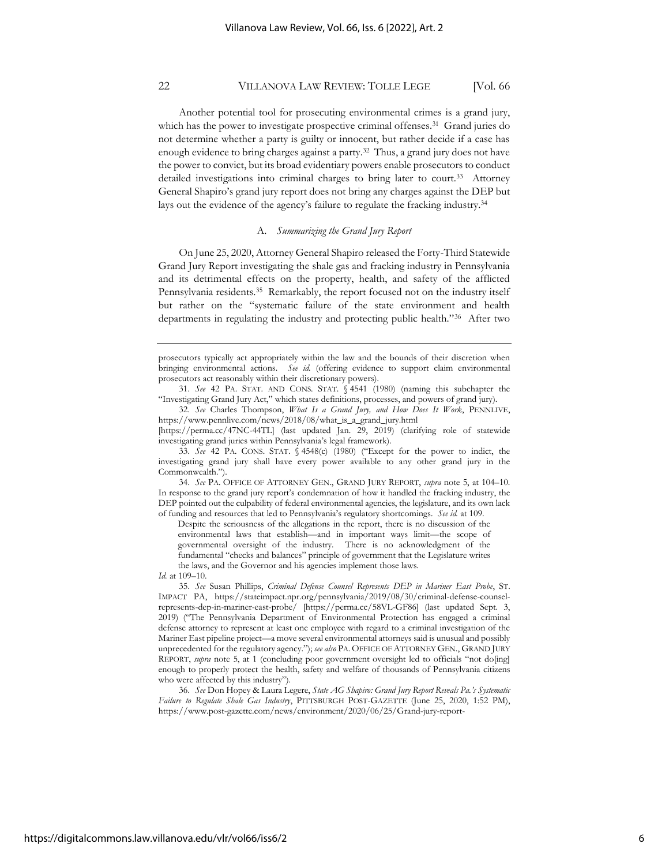Another potential tool for prosecuting environmental crimes is a grand jury, which has the power to investigate prospective criminal offenses.<sup>31</sup> Grand juries do not determine whether a party is guilty or innocent, but rather decide if a case has enough evidence to bring charges against a party.<sup>32</sup> Thus, a grand jury does not have the power to convict, but its broad evidentiary powers enable prosecutors to conduct detailed investigations into criminal charges to bring later to court.<sup>33</sup> Attorney General Shapiro's grand jury report does not bring any charges against the DEP but lays out the evidence of the agency's failure to regulate the fracking industry.<sup>34</sup>

### A. *Summarizing the Grand Jury Report*

On June 25, 2020, Attorney General Shapiro released the Forty-Third Statewide Grand Jury Report investigating the shale gas and fracking industry in Pennsylvania and its detrimental effects on the property, health, and safety of the afflicted Pennsylvania residents.<sup>35</sup> Remarkably, the report focused not on the industry itself but rather on the "systematic failure of the state environment and health departments in regulating the industry and protecting public health."<sup>36</sup> After two

Despite the seriousness of the allegations in the report, there is no discussion of the environmental laws that establish—and in important ways limit—the scope of governmental oversight of the industry. There is no acknowledgment of the fundamental "checks and balances" principle of government that the Legislature writes the laws, and the Governor and his agencies implement those laws.

prosecutors typically act appropriately within the law and the bounds of their discretion when bringing environmental actions. *See id.* (offering evidence to support claim environmental prosecutors act reasonably within their discretionary powers).

<sup>31.</sup> *See* 42 PA. STAT. AND CONS. STAT. § 4541 (1980) (naming this subchapter the "Investigating Grand Jury Act," which states definitions, processes, and powers of grand jury).

<sup>32.</sup> *See* Charles Thompson, *What Is a Grand Jury, and How Does It Work*, PENNLIVE, https://www.pennlive.com/news/2018/08/what\_is\_a\_grand\_jury.html

<sup>[</sup>https://perma.cc/47NC-44TL] (last updated Jan. 29, 2019) (clarifying role of statewide investigating grand juries within Pennsylvania's legal framework).

<sup>33.</sup> *See* 42 PA. CONS. STAT. § 4548(c) (1980) ("Except for the power to indict, the investigating grand jury shall have every power available to any other grand jury in the Commonwealth.").

<sup>34.</sup> *See* PA. OFFICE OF ATTORNEY GEN., GRAND JURY REPORT, *supra* note 5, at 104–10. In response to the grand jury report's condemnation of how it handled the fracking industry, the DEP pointed out the culpability of federal environmental agencies, the legislature, and its own lack of funding and resources that led to Pennsylvania's regulatory shortcomings. *See id.* at 109.

*Id.* at 109–10.

<sup>35.</sup> *See* Susan Phillips, *Criminal Defense Counsel Represents DEP in Mariner East Probe*, ST. IMPACT PA, https://stateimpact.npr.org/pennsylvania/2019/08/30/criminal-defense-counselrepresents-dep-in-mariner-east-probe/ [https://perma.cc/58VL-GF86] (last updated Sept. 3, 2019) ("The Pennsylvania Department of Environmental Protection has engaged a criminal defense attorney to represent at least one employee with regard to a criminal investigation of the Mariner East pipeline project—a move several environmental attorneys said is unusual and possibly unprecedented for the regulatory agency."); *see also* PA. OFFICE OF ATTORNEY GEN., GRAND JURY REPORT, *supra* note 5, at 1 (concluding poor government oversight led to officials "not do[ing] enough to properly protect the health, safety and welfare of thousands of Pennsylvania citizens who were affected by this industry").

<sup>36.</sup> *See* Don Hopey & Laura Legere, *State AG Shapiro: Grand Jury Report Reveals Pa.'s Systematic Failure to Regulate Shale Gas Industry*, PITTSBURGH POST-GAZETTE (June 25, 2020, 1:52 PM), https://www.post-gazette.com/news/environment/2020/06/25/Grand-jury-report-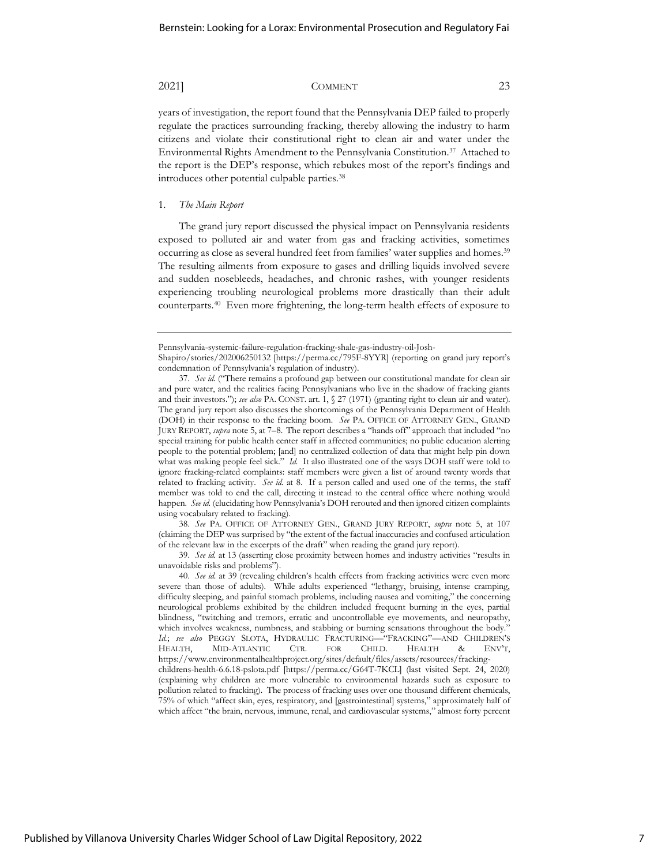years of investigation, the report found that the Pennsylvania DEP failed to properly regulate the practices surrounding fracking, thereby allowing the industry to harm citizens and violate their constitutional right to clean air and water under the Environmental Rights Amendment to the Pennsylvania Constitution. 37 Attached to the report is the DEP's response, which rebukes most of the report's findings and introduces other potential culpable parties.<sup>38</sup>

#### 1. *The Main Report*

The grand jury report discussed the physical impact on Pennsylvania residents exposed to polluted air and water from gas and fracking activities, sometimes occurring as close as several hundred feet from families' water supplies and homes.<sup>39</sup> The resulting ailments from exposure to gases and drilling liquids involved severe and sudden nosebleeds, headaches, and chronic rashes, with younger residents experiencing troubling neurological problems more drastically than their adult counterparts.<sup>40</sup> Even more frightening, the long-term health effects of exposure to

38. *See* PA. OFFICE OF ATTORNEY GEN., GRAND JURY REPORT, *supra* note 5, at 107 (claiming the DEP was surprised by "the extent of the factual inaccuracies and confused articulation of the relevant law in the excerpts of the draft" when reading the grand jury report).

39. *See id.* at 13 (asserting close proximity between homes and industry activities "results in unavoidable risks and problems").

Pennsylvania-systemic-failure-regulation-fracking-shale-gas-industry-oil-Josh-

Shapiro/stories/202006250132 [https://perma.cc/795F-8YYR] (reporting on grand jury report's condemnation of Pennsylvania's regulation of industry).

<sup>37.</sup> *See id.* ("There remains a profound gap between our constitutional mandate for clean air and pure water, and the realities facing Pennsylvanians who live in the shadow of fracking giants and their investors."); *see also* PA. CONST. art. 1, § 27 (1971) (granting right to clean air and water). The grand jury report also discusses the shortcomings of the Pennsylvania Department of Health (DOH) in their response to the fracking boom. *See* PA. OFFICE OF ATTORNEY GEN., GRAND JURY REPORT, *supra* note 5, at 7–8. The report describes a "hands off" approach that included "no special training for public health center staff in affected communities; no public education alerting people to the potential problem; [and] no centralized collection of data that might help pin down what was making people feel sick." *Id.* It also illustrated one of the ways DOH staff were told to ignore fracking-related complaints: staff members were given a list of around twenty words that related to fracking activity. *See id.* at 8. If a person called and used one of the terms, the staff member was told to end the call, directing it instead to the central office where nothing would happen. *See id.* (elucidating how Pennsylvania's DOH rerouted and then ignored citizen complaints using vocabulary related to fracking).

<sup>40.</sup> *See id.* at 39 (revealing children's health effects from fracking activities were even more severe than those of adults). While adults experienced "lethargy, bruising, intense cramping, difficulty sleeping, and painful stomach problems, including nausea and vomiting," the concerning neurological problems exhibited by the children included frequent burning in the eyes, partial blindness, "twitching and tremors, erratic and uncontrollable eye movements, and neuropathy, which involves weakness, numbness, and stabbing or burning sensations throughout the body." *Id.*; *see also* PEGGY SLOTA, HYDRAULIC FRACTURING—"FRACKING"—AND CHILDREN'S HEALTH, MID-ATLANTIC CTR. FOR CHILD. HEALTH & ENV'T, https://www.environmentalhealthproject.org/sites/default/files/assets/resources/frackingchildrens-health-6.6.18-pslota.pdf [https://perma.cc/G64T-7KCL] (last visited Sept. 24, 2020) (explaining why children are more vulnerable to environmental hazards such as exposure to pollution related to fracking). The process of fracking uses over one thousand different chemicals, 75% of which "affect skin, eyes, respiratory, and [gastrointestinal] systems," approximately half of which affect "the brain, nervous, immune, renal, and cardiovascular systems," almost forty percent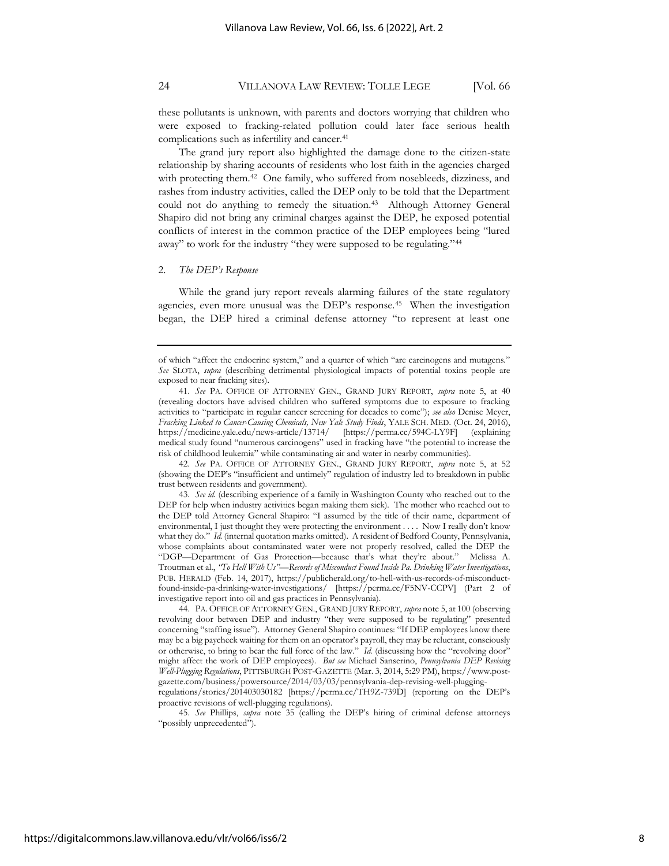these pollutants is unknown, with parents and doctors worrying that children who were exposed to fracking-related pollution could later face serious health complications such as infertility and cancer.<sup>41</sup>

The grand jury report also highlighted the damage done to the citizen-state relationship by sharing accounts of residents who lost faith in the agencies charged with protecting them.<sup>42</sup> One family, who suffered from nosebleeds, dizziness, and rashes from industry activities, called the DEP only to be told that the Department could not do anything to remedy the situation.<sup>43</sup> Although Attorney General Shapiro did not bring any criminal charges against the DEP, he exposed potential conflicts of interest in the common practice of the DEP employees being "lured away" to work for the industry "they were supposed to be regulating."<sup>44</sup>

### 2. *The DEP's Response*

While the grand jury report reveals alarming failures of the state regulatory agencies, even more unusual was the DEP's response.<sup>45</sup> When the investigation began, the DEP hired a criminal defense attorney "to represent at least one

of which "affect the endocrine system," and a quarter of which "are carcinogens and mutagens." *See* SLOTA, *supra* (describing detrimental physiological impacts of potential toxins people are exposed to near fracking sites).

<sup>41.</sup> *See* PA. OFFICE OF ATTORNEY GEN., GRAND JURY REPORT, *supra* note 5, at 40 (revealing doctors have advised children who suffered symptoms due to exposure to fracking activities to "participate in regular cancer screening for decades to come"); *see also* Denise Meyer, *Fracking Linked to Cancer-Causing Chemicals, New Yale Study Finds*, YALE SCH. MED. (Oct. 24, 2016), https://medicine.yale.edu/news-article/13714/ [https://perma.cc/594C-LY9F] (explaining medical study found "numerous carcinogens" used in fracking have "the potential to increase the risk of childhood leukemia" while contaminating air and water in nearby communities).

<sup>42.</sup> *See* PA. OFFICE OF ATTORNEY GEN., GRAND JURY REPORT, *supra* note 5, at 52 (showing the DEP's "insufficient and untimely" regulation of industry led to breakdown in public trust between residents and government).

<sup>43.</sup> *See id.* (describing experience of a family in Washington County who reached out to the DEP for help when industry activities began making them sick). The mother who reached out to the DEP told Attorney General Shapiro: "I assumed by the title of their name, department of environmental, I just thought they were protecting the environment . . . . Now I really don't know what they do." *Id.* (internal quotation marks omitted). A resident of Bedford County, Pennsylvania, whose complaints about contaminated water were not properly resolved, called the DEP the "DGP—Department of Gas Protection—because that's what they're about." Melissa A. Troutman et al., *"To Hell With Us"—Records of Misconduct Found Inside Pa. Drinking Water Investigations*, PUB. HERALD (Feb. 14, 2017), https://publicherald.org/to-hell-with-us-records-of-misconductfound-inside-pa-drinking-water-investigations/ [https://perma.cc/F5NV-CCPV] (Part 2 of investigative report into oil and gas practices in Pennsylvania).

<sup>44.</sup> PA. OFFICE OF ATTORNEY GEN., GRAND JURY REPORT, *supra* note 5, at 100 (observing revolving door between DEP and industry "they were supposed to be regulating" presented concerning "staffing issue"). Attorney General Shapiro continues: "If DEP employees know there may be a big paycheck waiting for them on an operator's payroll, they may be reluctant, consciously or otherwise, to bring to bear the full force of the law." *Id.* (discussing how the "revolving door" might affect the work of DEP employees). *But see* Michael Sanserino, *Pennsylvania DEP Revising Well-Plugging Regulations*, PITTSBURGH POST-GAZETTE (Mar. 3, 2014, 5:29 PM)[, https://www.post](https://www.post-gazette.com/business/powersource/2014/03/03/pennsylvania-dep-revising-well-plugging-regulations/stories/201403030182)[gazette.com/business/powersource/2014/03/03/pennsylvania-dep-revising-well-plugging-](https://www.post-gazette.com/business/powersource/2014/03/03/pennsylvania-dep-revising-well-plugging-regulations/stories/201403030182)

[regulations/stories/201403030182](https://www.post-gazette.com/business/powersource/2014/03/03/pennsylvania-dep-revising-well-plugging-regulations/stories/201403030182) [https://perma.cc/TH9Z-739D] (reporting on the DEP's proactive revisions of well-plugging regulations).

<sup>45.</sup> *See* Phillips, *supra* note 35 (calling the DEP's hiring of criminal defense attorneys "possibly unprecedented").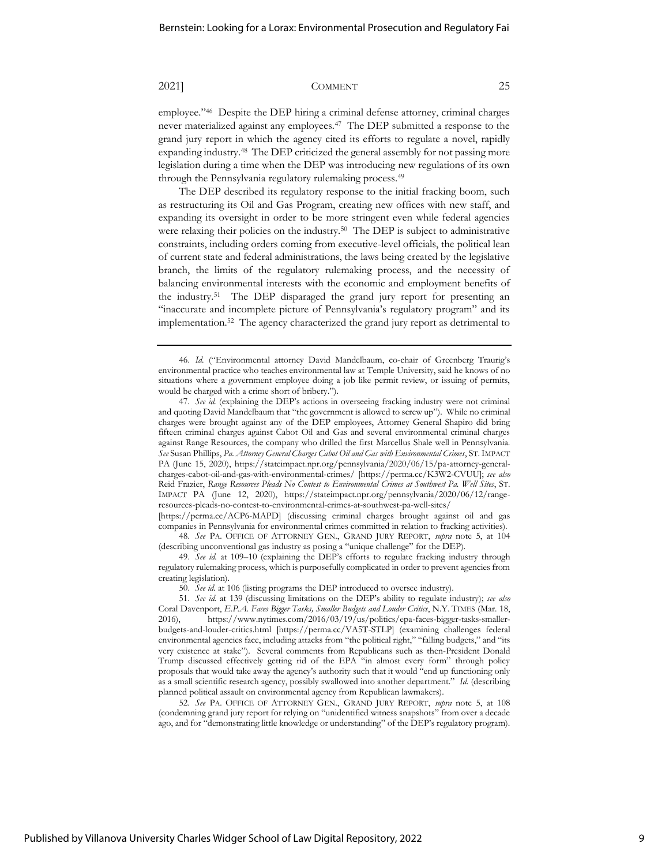employee." 46 Despite the DEP hiring a criminal defense attorney, criminal charges never materialized against any employees.<sup>47</sup> The DEP submitted a response to the grand jury report in which the agency cited its efforts to regulate a novel, rapidly expanding industry.<sup>48</sup> The DEP criticized the general assembly for not passing more legislation during a time when the DEP was introducing new regulations of its own through the Pennsylvania regulatory rulemaking process.<sup>49</sup>

The DEP described its regulatory response to the initial fracking boom, such as restructuring its Oil and Gas Program, creating new offices with new staff, and expanding its oversight in order to be more stringent even while federal agencies were relaxing their policies on the industry.<sup>50</sup> The DEP is subject to administrative constraints, including orders coming from executive-level officials, the political lean of current state and federal administrations, the laws being created by the legislative branch, the limits of the regulatory rulemaking process, and the necessity of balancing environmental interests with the economic and employment benefits of the industry.<sup>51</sup> The DEP disparaged the grand jury report for presenting an "inaccurate and incomplete picture of Pennsylvania's regulatory program" and its implementation.<sup>52</sup> The agency characterized the grand jury report as detrimental to

[https://perma.cc/ACP6-MAPD] (discussing criminal charges brought against oil and gas companies in Pennsylvania for environmental crimes committed in relation to fracking activities). 48. *See* PA. OFFICE OF ATTORNEY GEN., GRAND JURY REPORT, *supra* note 5, at 104

49. *See id.* at 109–10 (explaining the DEP's efforts to regulate fracking industry through regulatory rulemaking process, which is purposefully complicated in order to prevent agencies from creating legislation).

50. *See id.* at 106 (listing programs the DEP introduced to oversee industry).

52. *See* PA. OFFICE OF ATTORNEY GEN., GRAND JURY REPORT, *supra* note 5, at 108 (condemning grand jury report for relying on "unidentified witness snapshots" from over a decade ago, and for "demonstrating little knowledge or understanding" of the DEP's regulatory program).

<sup>46.</sup> *Id.* ("Environmental attorney David Mandelbaum, co-chair of Greenberg Traurig's environmental practice who teaches environmental law at Temple University, said he knows of no situations where a government employee doing a job like permit review, or issuing of permits, would be charged with a crime short of bribery.").

<sup>47.</sup> *See id.* (explaining the DEP's actions in overseeing fracking industry were not criminal and quoting David Mandelbaum that "the government is allowed to screw up"). While no criminal charges were brought against any of the DEP employees, Attorney General Shapiro did bring fifteen criminal charges against Cabot Oil and Gas and several environmental criminal charges against Range Resources, the company who drilled the first Marcellus Shale well in Pennsylvania. *See* Susan Phillips, *Pa. Attorney General Charges Cabot Oil and Gas with Environmental Crimes*, ST.IMPACT PA (June 15, 2020), [https://stateimpact.npr.org/pennsylvania/2020/06/15/pa-attorney-general](https://stateimpact.npr.org/pennsylvania/2020/06/15/pa-attorney-general-charges-cabot-oil-and-gas-with-environmental-crimes/)[charges-cabot-oil-and-gas-with-environmental-crimes/](https://stateimpact.npr.org/pennsylvania/2020/06/15/pa-attorney-general-charges-cabot-oil-and-gas-with-environmental-crimes/) [https://perma.cc/K3W2-CVUU]; *see also* Reid Frazier, *Range Resources Pleads No Contest to Environmental Crimes at Southwest Pa. Well Sites*, ST. IMPACT PA (June 12, 2020), https://stateimpact.npr.org/pennsylvania/2020/06/12/rangeresources-pleads-no-contest-to-environmental-crimes-at-southwest-pa-well-sites/

<sup>(</sup>describing unconventional gas industry as posing a "unique challenge" for the DEP).

<sup>51.</sup> *See id.* at 139 (discussing limitations on the DEP's ability to regulate industry); *see also* Coral Davenport, *E.P.A. Faces Bigger Tasks, Smaller Budgets and Louder Critics*, N.Y. TIMES (Mar. 18, 2016), https://www.nytimes.com/2016/03/19/us/politics/epa-faces-bigger-tasks-smallerbudgets-and-louder-critics.html [https://perma.cc/VA5T-STLP] (examining challenges federal environmental agencies face, including attacks from "the political right," "falling budgets," and "its very existence at stake"). Several comments from Republicans such as then-President Donald Trump discussed effectively getting rid of the EPA "in almost every form" through policy proposals that would take away the agency's authority such that it would "end up functioning only as a small scientific research agency, possibly swallowed into another department." *Id.* (describing planned political assault on environmental agency from Republican lawmakers).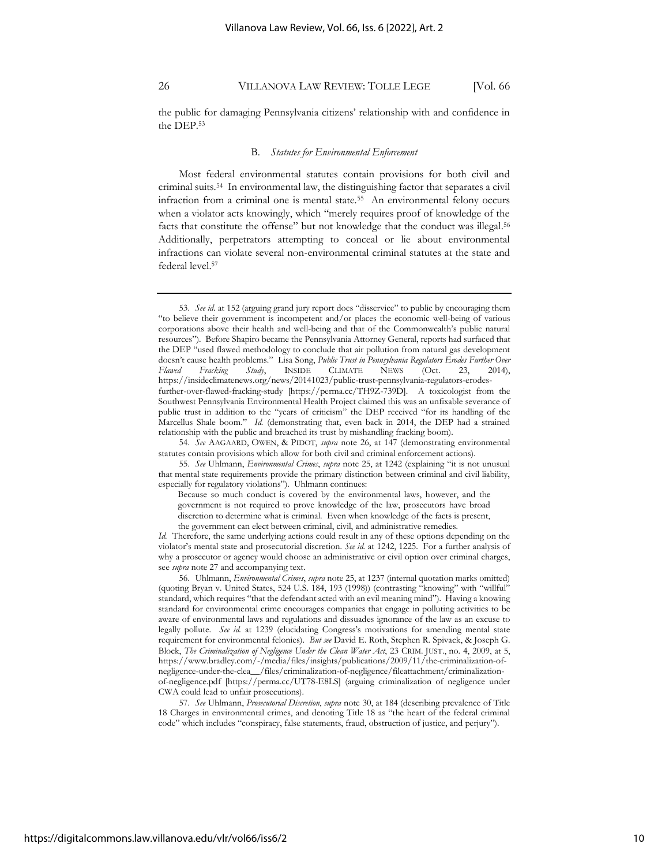the public for damaging Pennsylvania citizens' relationship with and confidence in the DEP.<sup>53</sup>

#### B. *Statutes for Environmental Enforcement*

Most federal environmental statutes contain provisions for both civil and criminal suits.<sup>54</sup> In environmental law, the distinguishing factor that separates a civil infraction from a criminal one is mental state.<sup>55</sup> An environmental felony occurs when a violator acts knowingly, which "merely requires proof of knowledge of the facts that constitute the offense" but not knowledge that the conduct was illegal. 56 Additionally, perpetrators attempting to conceal or lie about environmental infractions can violate several non-environmental criminal statutes at the state and federal level. 57

<sup>53.</sup> *See id.* at 152 (arguing grand jury report does "disservice" to public by encouraging them "to believe their government is incompetent and/or places the economic well-being of various corporations above their health and well-being and that of the Commonwealth's public natural resources"). Before Shapiro became the Pennsylvania Attorney General, reports had surfaced that the DEP "used flawed methodology to conclude that air pollution from natural gas development doesn't cause health problems." Lisa Song, *Public Trust in Pennsylvania Regulators Erodes Further Over Flawed Fracking Study*, INSIDE CLIMATE NEWS (Oct. 23, 2014), [https://insideclimatenews.org/news/20141023/public-trust-pennsylvania-regulators-erodes](https://insideclimatenews.org/news/20141023/public-trust-pennsylvania-regulators-erodes-further-over-flawed-fracking-study)[further-over-flawed-fracking-study](https://insideclimatenews.org/news/20141023/public-trust-pennsylvania-regulators-erodes-further-over-flawed-fracking-study) [https://perma.cc/TH9Z-739D]. A toxicologist from the Southwest Pennsylvania Environmental Health Project claimed this was an unfixable severance of public trust in addition to the "years of criticism" the DEP received "for its handling of the Marcellus Shale boom." *Id.* (demonstrating that, even back in 2014, the DEP had a strained relationship with the public and breached its trust by mishandling fracking boom).

<sup>54.</sup> *See* AAGAARD, OWEN, & PIDOT, *supra* note 26, at 147 (demonstrating environmental statutes contain provisions which allow for both civil and criminal enforcement actions).

<sup>55.</sup> *See* Uhlmann, *Environmental Crimes*, *supra* note 25, at 1242 (explaining "it is not unusual that mental state requirements provide the primary distinction between criminal and civil liability, especially for regulatory violations"). Uhlmann continues:

Because so much conduct is covered by the environmental laws, however, and the government is not required to prove knowledge of the law, prosecutors have broad discretion to determine what is criminal. Even when knowledge of the facts is present, the government can elect between criminal, civil, and administrative remedies.

*Id.* Therefore, the same underlying actions could result in any of these options depending on the violator's mental state and prosecutorial discretion. *See id.* at 1242, 1225. For a further analysis of why a prosecutor or agency would choose an administrative or civil option over criminal charges, see *supra* note 27 and accompanying text.

<sup>56.</sup> Uhlmann, *Environmental Crimes*, *supra* note 25, at 1237 (internal quotation marks omitted) (quoting Bryan v. United States, 524 U.S. 184, 193 (1998)) (contrasting "knowing" with "willful" standard, which requires "that the defendant acted with an evil meaning mind"). Having a knowing standard for environmental crime encourages companies that engage in polluting activities to be aware of environmental laws and regulations and dissuades ignorance of the law as an excuse to legally pollute. *See id.* at 1239 (elucidating Congress's motivations for amending mental state requirement for environmental felonies). *But see* David E. Roth, Stephen R. Spivack, & Joseph G. Block, *The Criminalization of Negligence Under the Clean Water Act*, 23 CRIM. JUST., no. 4, 2009, at 5, https://www.bradley.com/-/media/files/insights/publications/2009/11/the-criminalization-ofnegligence-under-the-clea\_\_/files/criminalization-of-negligence/fileattachment/criminalizationof-negligence.pdf [https://perma.cc/UT78-E8LS] (arguing criminalization of negligence under CWA could lead to unfair prosecutions).

<sup>57.</sup> *See* Uhlmann, *Prosecutorial Discretion*, *supra* note 30, at 184 (describing prevalence of Title 18 Charges in environmental crimes, and denoting Title 18 as "the heart of the federal criminal code" which includes "conspiracy, false statements, fraud, obstruction of justice, and perjury").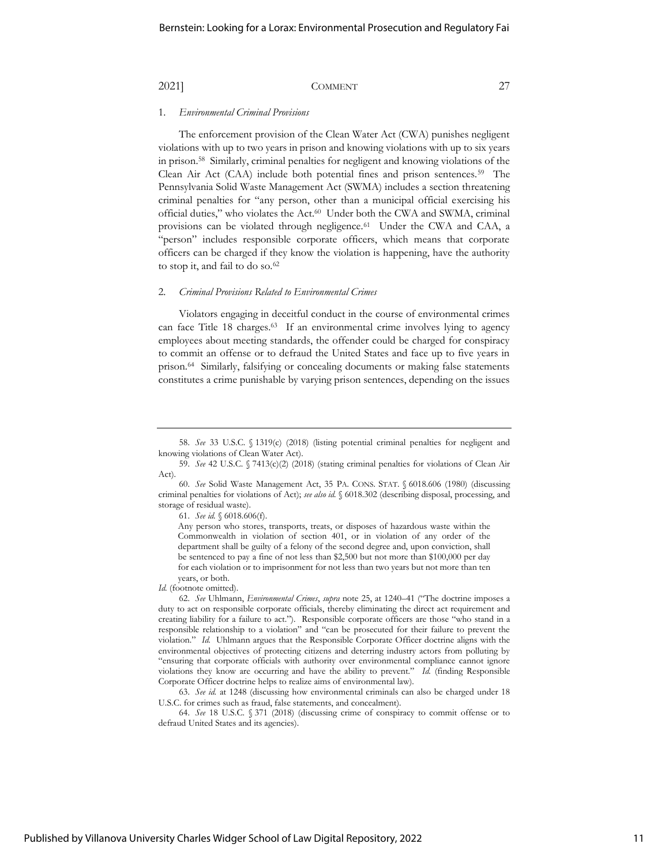#### 1. *Environmental Criminal Provisions*

The enforcement provision of the Clean Water Act (CWA) punishes negligent violations with up to two years in prison and knowing violations with up to six years in prison.<sup>58</sup> Similarly, criminal penalties for negligent and knowing violations of the Clean Air Act (CAA) include both potential fines and prison sentences.<sup>59</sup> The Pennsylvania Solid Waste Management Act (SWMA) includes a section threatening criminal penalties for "any person, other than a municipal official exercising his official duties," who violates the Act. 60 Under both the CWA and SWMA, criminal provisions can be violated through negligence.<sup>61</sup> Under the CWA and CAA, a "person" includes responsible corporate officers, which means that corporate officers can be charged if they know the violation is happening, have the authority to stop it, and fail to do so.<sup>62</sup>

#### 2. *Criminal Provisions Related to Environmental Crimes*

Violators engaging in deceitful conduct in the course of environmental crimes can face Title 18 charges.<sup>63</sup> If an environmental crime involves lying to agency employees about meeting standards, the offender could be charged for conspiracy to commit an offense or to defraud the United States and face up to five years in prison.<sup>64</sup> Similarly, falsifying or concealing documents or making false statements constitutes a crime punishable by varying prison sentences, depending on the issues

61. *See id.* § 6018.606(f).

Any person who stores, transports, treats, or disposes of hazardous waste within the Commonwealth in violation of section 401, or in violation of any order of the department shall be guilty of a felony of the second degree and, upon conviction, shall be sentenced to pay a fine of not less than \$2,500 but not more than \$100,000 per day for each violation or to imprisonment for not less than two years but not more than ten years, or both.

*Id.* (footnote omitted).

62. *See* Uhlmann, *Environmental Crimes*, *supra* note 25, at 1240–41 ("The doctrine imposes a duty to act on responsible corporate officials, thereby eliminating the direct act requirement and creating liability for a failure to act."). Responsible corporate officers are those "who stand in a responsible relationship to a violation" and "can be prosecuted for their failure to prevent the violation." *Id.* Uhlmann argues that the Responsible Corporate Officer doctrine aligns with the environmental objectives of protecting citizens and deterring industry actors from polluting by "ensuring that corporate officials with authority over environmental compliance cannot ignore violations they know are occurring and have the ability to prevent." *Id.* (finding Responsible Corporate Officer doctrine helps to realize aims of environmental law).

63. *See id.* at 1248 (discussing how environmental criminals can also be charged under 18 U.S.C. for crimes such as fraud, false statements, and concealment).

64. *See* 18 U.S.C. § 371 (2018) (discussing crime of conspiracy to commit offense or to defraud United States and its agencies).

<sup>58.</sup> *See* 33 U.S.C. § 1319(c) (2018) (listing potential criminal penalties for negligent and knowing violations of Clean Water Act).

<sup>59.</sup> *See* 42 U.S.C. § 7413(c)(2) (2018) (stating criminal penalties for violations of Clean Air Act).

<sup>60.</sup> *See* Solid Waste Management Act, 35 PA. CONS. STAT. § 6018.606 (1980) (discussing criminal penalties for violations of Act); *see also id.* § 6018.302 (describing disposal, processing, and storage of residual waste).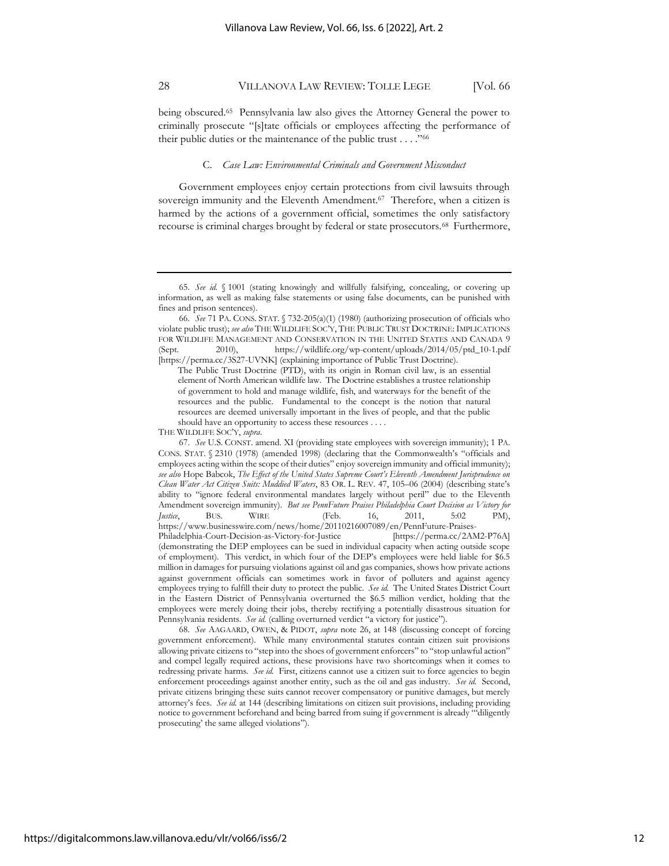being obscured.<sup>65</sup> Pennsylvania law also gives the Attorney General the power to criminally prosecute "[s]tate officials or employees affecting the performance of their public duties or the maintenance of the public trust . . . ."<sup>66</sup>

#### C. *Case Law: Environmental Criminals and Government Misconduct*

Government employees enjoy certain protections from civil lawsuits through sovereign immunity and the Eleventh Amendment.<sup>67</sup> Therefore, when a citizen is harmed by the actions of a government official, sometimes the only satisfactory recourse is criminal charges brought by federal or state prosecutors.<sup>68</sup> Furthermore,

68. *See* AAGAARD, OWEN, & PIDOT, *supra* note 26, at 148 (discussing concept of forcing government enforcement). While many environmental statutes contain citizen suit provisions allowing private citizens to "step into the shoes of government enforcers" to "stop unlawful action" and compel legally required actions, these provisions have two shortcomings when it comes to redressing private harms. *See id.* First, citizens cannot use a citizen suit to force agencies to begin enforcement proceedings against another entity, such as the oil and gas industry. *See id.* Second, private citizens bringing these suits cannot recover compensatory or punitive damages, but merely attorney's fees. *See id.* at 144 (describing limitations on citizen suit provisions, including providing notice to government beforehand and being barred from suing if government is already "'diligently prosecuting' the same alleged violations").

<sup>65.</sup> *See id.* § 1001 (stating knowingly and willfully falsifying, concealing, or covering up information, as well as making false statements or using false documents, can be punished with fines and prison sentences).

<sup>66.</sup> *See* 71 PA. CONS. STAT. § 732-205(a)(1) (1980) (authorizing prosecution of officials who violate public trust); *see also* THE WILDLIFE SOC'Y, THE PUBLIC TRUST DOCTRINE: IMPLICATIONS FOR WILDLIFE MANAGEMENT AND CONSERVATION IN THE UNITED STATES AND CANADA 9 (Sept. 2010), https://wildlife.org/wp-content/uploads/2014/05/ptd\_10-1.pdf [https://perma.cc/3S27-UVNK] (explaining importance of Public Trust Doctrine).

The Public Trust Doctrine (PTD), with its origin in Roman civil law, is an essential element of North American wildlife law. The Doctrine establishes a trustee relationship of government to hold and manage wildlife, fish, and waterways for the benefit of the resources and the public. Fundamental to the concept is the notion that natural resources are deemed universally important in the lives of people, and that the public should have an opportunity to access these resources . . . .

THE WILDLIFE SOC'Y, *supra*.

<sup>67.</sup> *See* U.S. CONST. amend. XI (providing state employees with sovereign immunity); 1 PA. CONS. STAT. § 2310 (1978) (amended 1998) (declaring that the Commonwealth's "officials and employees acting within the scope of their duties" enjoy sovereign immunity and official immunity); *see also* Hope Babcok, *The Effect of the United States Supreme Court's Eleventh Amendment Jurisprudence on Clean Water Act Citizen Suits: Muddied Waters*, 83 OR. L. REV. 47, 105–06 (2004) (describing state's ability to "ignore federal environmental mandates largely without peril" due to the Eleventh Amendment sovereign immunity). *But see PennFuture Praises Philadelphia Court Decision as Victory for Justice*, BUS. WIRE (Feb. 16, 2011, 5:02 PM), https://www.businesswire.com/news/home/20110216007089/en/PennFuture-Praises-Philadelphia-Court-Decision-as-Victory-for-Justice [https://perma.cc/2AM2-P76A] (demonstrating the DEP employees can be sued in individual capacity when acting outside scope of employment). This verdict, in which four of the DEP's employees were held liable for \$6.5 million in damages for pursuing violations against oil and gas companies, shows how private actions against government officials can sometimes work in favor of polluters and against agency employees trying to fulfill their duty to protect the public. *See id.* The United States District Court in the Eastern District of Pennsylvania overturned the \$6.5 million verdict, holding that the employees were merely doing their jobs, thereby rectifying a potentially disastrous situation for Pennsylvania residents. *See id.* (calling overturned verdict "a victory for justice").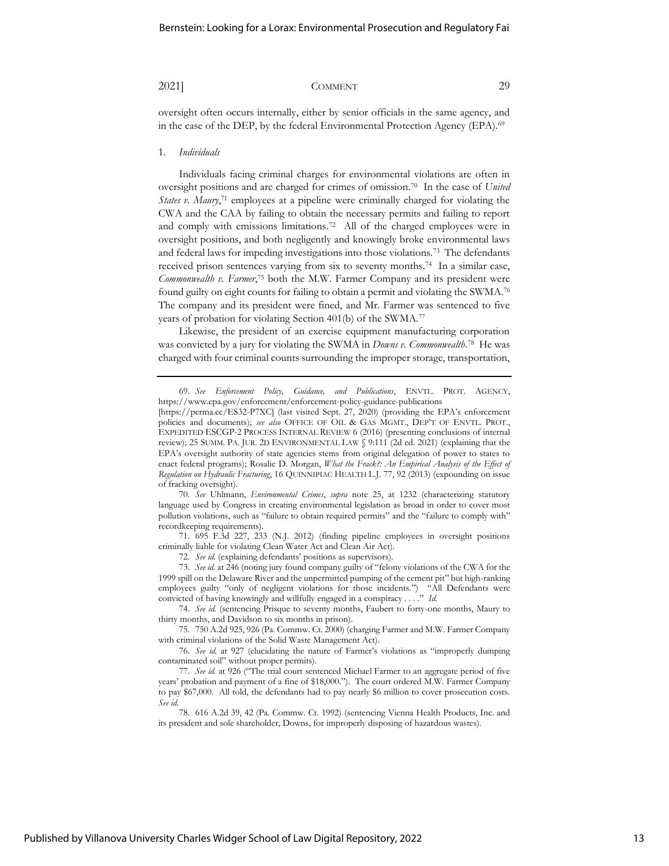oversight often occurs internally, either by senior officials in the same agency, and in the case of the DEP, by the federal Environmental Protection Agency (EPA).<sup>69</sup>

### 1. *Individuals*

Individuals facing criminal charges for environmental violations are often in oversight positions and are charged for crimes of omission.<sup>70</sup> In the case of *United States v. Maury*,<sup>71</sup> employees at a pipeline were criminally charged for violating the CWA and the CAA by failing to obtain the necessary permits and failing to report and comply with emissions limitations.<sup>72</sup> All of the charged employees were in oversight positions, and both negligently and knowingly broke environmental laws and federal laws for impeding investigations into those violations.<sup>73</sup> The defendants received prison sentences varying from six to seventy months.<sup>74</sup> In a similar case, *Commonwealth v. Farmer*, <sup>75</sup> both the M.W. Farmer Company and its president were found guilty on eight counts for failing to obtain a permit and violating the SWMA.<sup>76</sup> The company and its president were fined, and Mr. Farmer was sentenced to five years of probation for violating Section 401(b) of the SWMA.<sup>77</sup>

Likewise, the president of an exercise equipment manufacturing corporation was convicted by a jury for violating the SWMA in *Downs v. Commonwealth*. 78 He was charged with four criminal counts surrounding the improper storage, transportation,

70. *See* Uhlmann, *Environmental Crimes*, *supra* note 25, at 1232 (characterizing statutory language used by Congress in creating environmental legislation as broad in order to cover most pollution violations, such as "failure to obtain required permits" and the "failure to comply with" recordkeeping requirements).

71. 695 F.3d 227, 233 (N.J. 2012) (finding pipeline employees in oversight positions criminally liable for violating Clean Water Act and Clean Air Act).

72. *See id.* (explaining defendants' positions as supervisors).

73. *See id.* at 246 (noting jury found company guilty of "felony violations of the CWA for the 1999 spill on the Delaware River and the unpermitted pumping of the cement pit" but high-ranking employees guilty "only of negligent violations for those incidents.") "All Defendants were convicted of having knowingly and willfully engaged in a conspiracy . . . ." *Id.*

74. *See id.* (sentencing Prisque to seventy months, Faubert to forty-one months, Maury to thirty months, and Davidson to six months in prison).

75. 750 A.2d 925, 926 (Pa. Commw. Ct. 2000) (charging Farmer and M.W. Farmer Company with criminal violations of the Solid Waste Management Act).

76. *See id.* at 927 (elucidating the nature of Farmer's violations as "improperly dumping contaminated soil" without proper permits).

77. *See id.* at 926 ("The trial court sentenced Michael Farmer to an aggregate period of five years' probation and payment of a fine of \$18,000."). The court ordered M.W. Farmer Company to pay \$67,000. All told, the defendants had to pay nearly \$6 million to cover prosecution costs. *See id.*

78. 616 A.2d 39, 42 (Pa. Commw. Ct. 1992) (sentencing Vienna Health Products, Inc. and its president and sole shareholder, Downs, for improperly disposing of hazardous wastes).

<sup>69.</sup> *See Enforcement Policy, Guidance, and Publications*, ENVTL. PROT. AGENCY, https://www.epa.gov/enforcement/enforcement-policy-guidance-publications

<sup>[</sup>https://perma.cc/ES32-P7XC] (last visited Sept. 27, 2020) (providing the EPA's enforcement policies and documents); *see also* OFFICE OF OIL & GAS MGMT., DEP'T OF ENVTL. PROT., EXPEDITED ESCGP-2 PROCESS INTERNAL REVIEW 6 (2016) (presenting conclusions of internal review); 25 SUMM. PA. JUR. 2D ENVIRONMENTAL LAW § 9:111 (2d ed. 2021) (explaining that the EPA's oversight authority of state agencies stems from original delegation of power to states to enact federal programs); Rosalie D. Morgan, *What the Frack?: An Empirical Analysis of the Effect of Regulation on Hydraulic Fracturing*, 16 QUINNIPIAC HEALTH L.J. 77, 92 (2013) (expounding on issue of fracking oversight).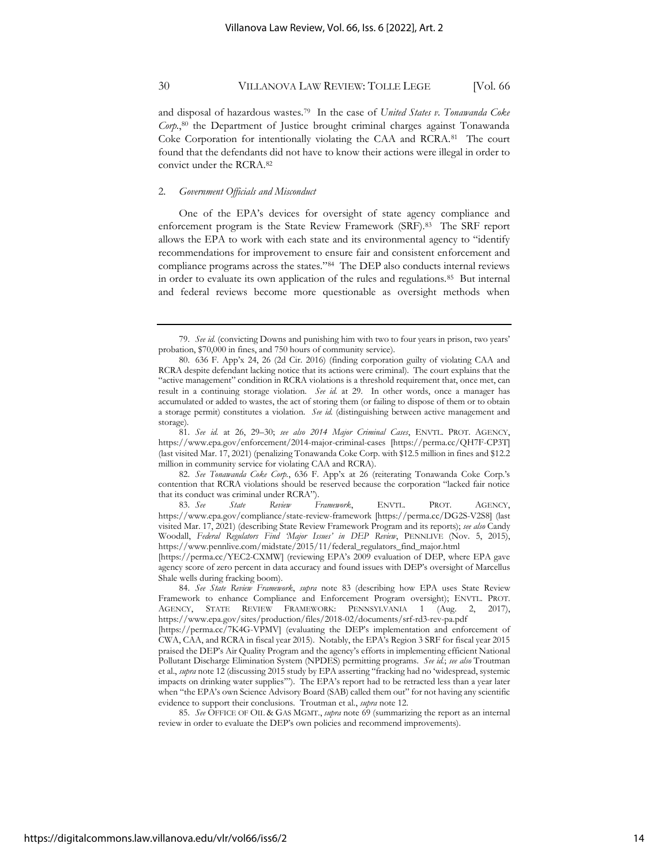and disposal of hazardous wastes.<sup>79</sup> In the case of *United States v. Tonawanda Coke Corp.*, <sup>80</sup> the Department of Justice brought criminal charges against Tonawanda Coke Corporation for intentionally violating the CAA and RCRA.<sup>81</sup> The court found that the defendants did not have to know their actions were illegal in order to convict under the RCRA.<sup>82</sup>

### 2. *Government Officials and Misconduct*

One of the EPA's devices for oversight of state agency compliance and enforcement program is the State Review Framework (SRF).<sup>83</sup> The SRF report allows the EPA to work with each state and its environmental agency to "identify recommendations for improvement to ensure fair and consistent enforcement and compliance programs across the states."<sup>84</sup> The DEP also conducts internal reviews in order to evaluate its own application of the rules and regulations.<sup>85</sup> But internal and federal reviews become more questionable as oversight methods when

81. *See id.* at 26, 29–30; *see also 2014 Major Criminal Cases*, ENVTL. PROT. AGENCY, https://www.epa.gov/enforcement/2014-major-criminal-cases [https://perma.cc/QH7F-CP3T] (last visited Mar. 17, 2021) (penalizing Tonawanda Coke Corp. with \$12.5 million in fines and \$12.2 million in community service for violating CAA and RCRA).

82. *See Tonawanda Coke Corp.*, 636 F. App'x at 26 (reiterating Tonawanda Coke Corp.'s contention that RCRA violations should be reserved because the corporation "lacked fair notice that its conduct was criminal under RCRA").

83. *See State Review Framework*, ENVTL. PROT. AGENCY, https://www.epa.gov/compliance/state-review-framework [https://perma.cc/DG2S-V2S8] (last visited Mar. 17, 2021) (describing State Review Framework Program and its reports); *see also* Candy Woodall, *Federal Regulators Find 'Major Issues' in DEP Review*, PENNLIVE (Nov. 5, 2015), https://www.pennlive.com/midstate/2015/11/federal\_regulators\_find\_major.html

[https://perma.cc/YEC2-CXMW] (reviewing EPA's 2009 evaluation of DEP, where EPA gave agency score of zero percent in data accuracy and found issues with DEP's oversight of Marcellus Shale wells during fracking boom).

84. *See State Review Framework*, *supra* note 83 (describing how EPA uses State Review Framework to enhance Compliance and Enforcement Program oversight); ENVTL. PROT. AGENCY, STATE REVIEW FRAMEWORK: PENNSYLVANIA 1 (Aug. 2, https://www.epa.gov/sites/production/files/2018-02/documents/srf-rd3-rev-pa.pdf

[https://perma.cc/7K4G-VPMV] (evaluating the DEP's implementation and enforcement of CWA, CAA, and RCRA in fiscal year 2015). Notably, the EPA's Region 3 SRF for fiscal year 2015 praised the DEP's Air Quality Program and the agency's efforts in implementing efficient National Pollutant Discharge Elimination System (NPDES) permitting programs. *See id.*; *see also* Troutman et al., *supra* note 12 (discussing 2015 study by EPA asserting "fracking had no 'widespread, systemic impacts on drinking water supplies'"). The EPA's report had to be retracted less than a year later when "the EPA's own Science Advisory Board (SAB) called them out" for not having any scientific evidence to support their conclusions. Troutman et al., *supra* note 12.

85. *See* OFFICE OF OIL & GAS MGMT., *supra* note 69 (summarizing the report as an internal review in order to evaluate the DEP's own policies and recommend improvements).

<sup>79.</sup> *See id.* (convicting Downs and punishing him with two to four years in prison, two years' probation, \$70,000 in fines, and 750 hours of community service).

<sup>80.</sup> 636 F. App'x 24, 26 (2d Cir. 2016) (finding corporation guilty of violating CAA and RCRA despite defendant lacking notice that its actions were criminal). The court explains that the "active management" condition in RCRA violations is a threshold requirement that, once met, can result in a continuing storage violation. *See id.* at 29. In other words, once a manager has accumulated or added to wastes, the act of storing them (or failing to dispose of them or to obtain a storage permit) constitutes a violation. *See id.* (distinguishing between active management and storage).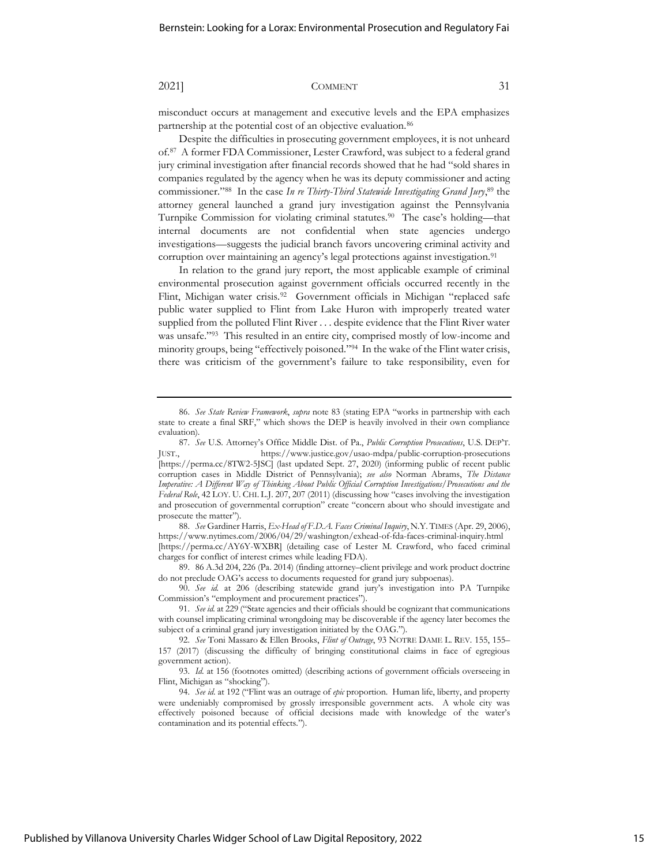misconduct occurs at management and executive levels and the EPA emphasizes partnership at the potential cost of an objective evaluation.<sup>86</sup>

Despite the difficulties in prosecuting government employees, it is not unheard of.<sup>87</sup> A former FDA Commissioner, Lester Crawford, was subject to a federal grand jury criminal investigation after financial records showed that he had "sold shares in companies regulated by the agency when he was its deputy commissioner and acting commissioner."<sup>88</sup> In the case *In re Thirty-Third Statewide Investigating Grand Jury*, <sup>89</sup> the attorney general launched a grand jury investigation against the Pennsylvania Turnpike Commission for violating criminal statutes.<sup>90</sup> The case's holding—that internal documents are not confidential when state agencies undergo investigations—suggests the judicial branch favors uncovering criminal activity and corruption over maintaining an agency's legal protections against investigation.<sup>91</sup>

In relation to the grand jury report, the most applicable example of criminal environmental prosecution against government officials occurred recently in the Flint, Michigan water crisis.<sup>92</sup> Government officials in Michigan "replaced safe public water supplied to Flint from Lake Huron with improperly treated water supplied from the polluted Flint River . . . despite evidence that the Flint River water was unsafe."<sup>93</sup> This resulted in an entire city, comprised mostly of low-income and minority groups, being "effectively poisoned."<sup>94</sup> In the wake of the Flint water crisis, there was criticism of the government's failure to take responsibility, even for

88. *See* Gardiner Harris, *Ex-Head of F.D.A. Faces Criminal Inquiry*, N.Y. TIMES (Apr. 29, 2006), https://www.nytimes.com/2006/04/29/washington/exhead-of-fda-faces-criminal-inquiry.html [https://perma.cc/AY6Y-WXBR] (detailing case of Lester M. Crawford, who faced criminal charges for conflict of interest crimes while leading FDA).

89. 86 A.3d 204, 226 (Pa. 2014) (finding attorney–client privilege and work product doctrine do not preclude OAG's access to documents requested for grand jury subpoenas).

90. *See id.* at 206 (describing statewide grand jury's investigation into PA Turnpike Commission's "employment and procurement practices").

<sup>86.</sup> *See State Review Framework*, *supra* note 83 (stating EPA "works in partnership with each state to create a final SRF," which shows the DEP is heavily involved in their own compliance evaluation).

<sup>87.</sup> *See* U.S. Attorney's Office Middle Dist. of Pa., *Public Corruption Prosecutions*, U.S. DEP'T. JUST., https://www.justice.gov/usao-mdpa/public-corruption-prosecutions [https://perma.cc/8TW2-5JSC] (last updated Sept. 27, 2020) (informing public of recent public corruption cases in Middle District of Pennsylvania); *see also* Norman Abrams, *The Distance Imperative: A Different Way of Thinking About Public Official Corruption Investigations/Prosecutions and the Federal Role*, 42 LOY. U. CHI. L.J. 207, 207 (2011) (discussing how "cases involving the investigation and prosecution of governmental corruption" create "concern about who should investigate and prosecute the matter").

<sup>91.</sup> *See id.* at 229 ("State agencies and their officials should be cognizant that communications with counsel implicating criminal wrongdoing may be discoverable if the agency later becomes the subject of a criminal grand jury investigation initiated by the OAG.").

<sup>92.</sup> *See* Toni Massaro & Ellen Brooks, *Flint of Outrage*, 93 NOTRE DAME L. REV. 155, 155– 157 (2017) (discussing the difficulty of bringing constitutional claims in face of egregious government action).

<sup>93.</sup> *Id.* at 156 (footnotes omitted) (describing actions of government officials overseeing in Flint, Michigan as "shocking").

<sup>94.</sup> *See id.* at 192 ("Flint was an outrage of *epic* proportion. Human life, liberty, and property were undeniably compromised by grossly irresponsible government acts. A whole city was effectively poisoned because of official decisions made with knowledge of the water's contamination and its potential effects.").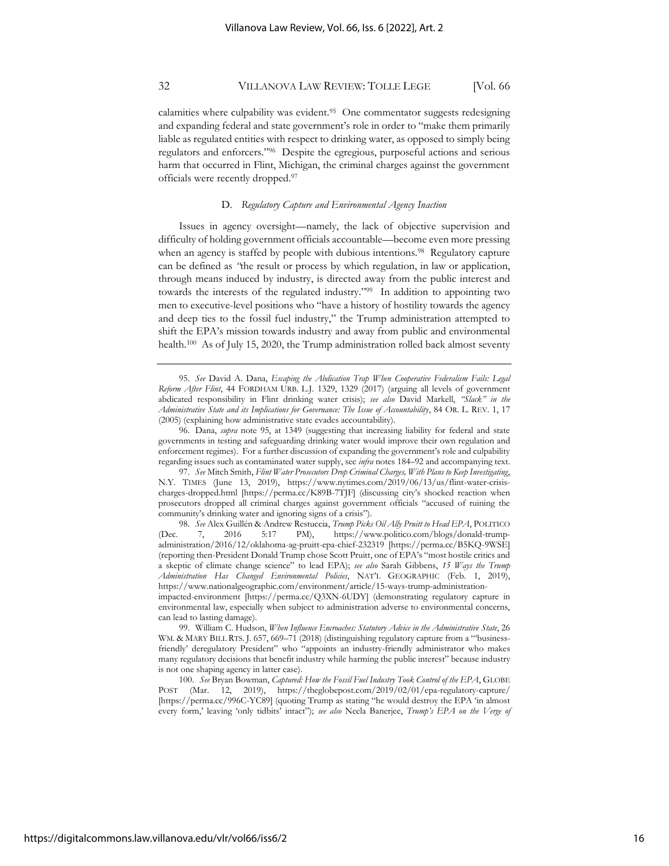calamities where culpability was evident.<sup>95</sup> One commentator suggests redesigning and expanding federal and state government's role in order to "make them primarily liable as regulated entities with respect to drinking water, as opposed to simply being regulators and enforcers."<sup>96</sup> Despite the egregious, purposeful actions and serious harm that occurred in Flint, Michigan, the criminal charges against the government officials were recently dropped.<sup>97</sup>

### D. *Regulatory Capture and Environmental Agency Inaction*

Issues in agency oversight—namely, the lack of objective supervision and difficulty of holding government officials accountable—become even more pressing when an agency is staffed by people with dubious intentions.<sup>98</sup> Regulatory capture can be defined as *"*the result or process by which regulation, in law or application, through means induced by industry, is directed away from the public interest and towards the interests of the regulated industry."<sup>99</sup> In addition to appointing two men to executive-level positions who "have a history of hostility towards the agency and deep ties to the fossil fuel industry," the Trump administration attempted to shift the EPA's mission towards industry and away from public and environmental health.<sup>100</sup> As of July 15, 2020, the Trump administration rolled back almost seventy

<sup>95.</sup> *See* David A. Dana, *Escaping the Abdication Trap When Cooperative Federalism Fails: Legal Reform After Flint*, 44 FORDHAM URB. L.J. 1329, 1329 (2017) (arguing all levels of government abdicated responsibility in Flint drinking water crisis); *see also* David Markell, *"Slack" in the Administrative State and its Implications for Governance: The Issue of Accountability*, 84 OR. L. REV. 1, 17 (2005) (explaining how administrative state evades accountability).

<sup>96.</sup> Dana, *supra* note 95, at 1349 (suggesting that increasing liability for federal and state governments in testing and safeguarding drinking water would improve their own regulation and enforcement regimes). For a further discussion of expanding the government's role and culpability regarding issues such as contaminated water supply, see *infra* notes 184–92 and accompanying text.

<sup>97.</sup> *See* Mitch Smith, *Flint Water Prosecutors Drop Criminal Charges, With Plans to Keep Investigating*, N.Y. TIMES (June 13, 2019), https://www.nytimes.com/2019/06/13/us/flint-water-crisischarges-dropped.html [https://perma.cc/K89B-7TJF] (discussing city's shocked reaction when prosecutors dropped all criminal charges against government officials "accused of ruining the community's drinking water and ignoring signs of a crisis").

<sup>98.</sup> *See* Alex Guillén & Andrew Restuccia, *Trump Picks Oil Ally Pruitt to Head EPA*, POLITICO (Dec. 7, 2016 5:17 PM), https://www.politico.com/blogs/donald-trumpadministration/2016/12/oklahoma-ag-pruitt-epa-chief-232319 [https://perma.cc/B5KQ-9WSE] (reporting then-President Donald Trump chose Scott Pruitt, one of EPA's "most hostile critics and a skeptic of climate change science" to lead EPA); *see also* Sarah Gibbens, *15 Ways the Trump Administration Has Changed Environmental Policies*, NAT'L GEOGRAPHIC (Feb. 1, 2019), https://www.nationalgeographic.com/environment/article/15-ways-trump-administration-

impacted-environment [https://perma.cc/Q3XN-6UDY] (demonstrating regulatory capture in environmental law, especially when subject to administration adverse to environmental concerns, can lead to lasting damage).

<sup>99.</sup> William C. Hudson, *When Influence Encroaches: Statutory Advice in the Administrative State*, 26 WM. & MARY BILL RTS. J. 657, 669-71 (2018) (distinguishing regulatory capture from a "'businessfriendly' deregulatory President" who "appoints an industry-friendly administrator who makes many regulatory decisions that benefit industry while harming the public interest" because industry is not one shaping agency in latter case).

<sup>100.</sup> *See* Bryan Bowman, *Captured: How the Fossil Fuel Industry Took Control of the EPA*, GLOBE POST (Mar. 12, 2019), https://theglobepost.com/2019/02/01/epa-regulatory-capture/ [https://perma.cc/996C-YC89] (quoting Trump as stating "he would destroy the EPA 'in almost every form,' leaving 'only tidbits' intact"); *see also* Neela Banerjee, *Trump's EPA on the Verge of*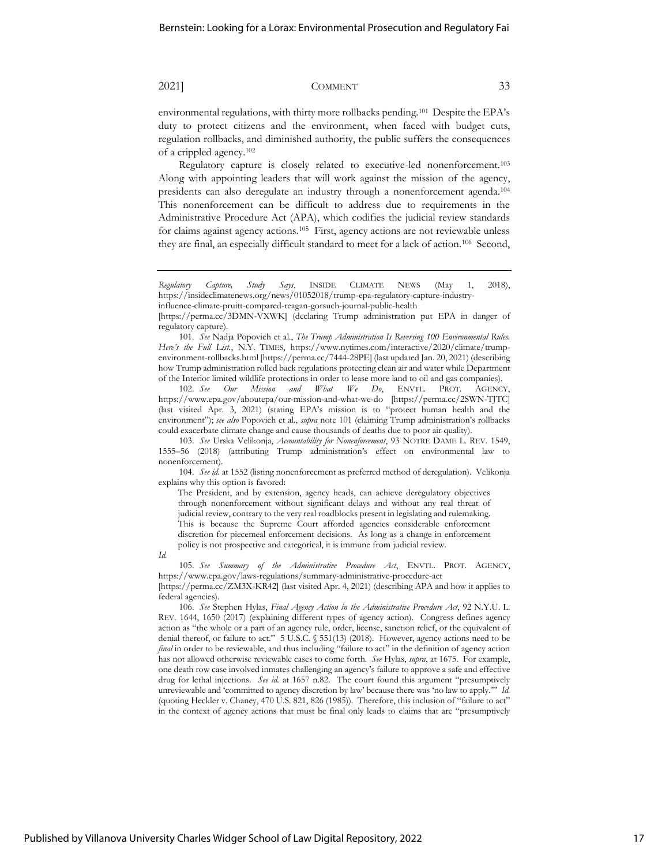environmental regulations, with thirty more rollbacks pending.<sup>101</sup> Despite the EPA's duty to protect citizens and the environment, when faced with budget cuts, regulation rollbacks, and diminished authority, the public suffers the consequences of a crippled agency.<sup>102</sup>

Regulatory capture is closely related to executive-led nonenforcement.<sup>103</sup> Along with appointing leaders that will work against the mission of the agency, presidents can also deregulate an industry through a nonenforcement agenda. 104 This nonenforcement can be difficult to address due to requirements in the Administrative Procedure Act (APA), which codifies the judicial review standards for claims against agency actions.<sup>105</sup> First, agency actions are not reviewable unless they are final, an especially difficult standard to meet for a lack of action.<sup>106</sup> Second,

of the Interior limited wildlife protections in order to lease more land to oil and gas companies).<br>102. See Our Mission and What We Do, ENVIL. PROT. AGENC 102. *See Our Mission and What We Do*, ENVTL. PROT. AGENCY, <https://www.epa.gov/aboutepa/our-mission-and-what-we-do> [https://perma.cc/2SWN-TJTC] (last visited Apr. 3, 2021) (stating EPA's mission is to "protect human health and the environment"); *see also* Popovich et al., *supra* note 101 (claiming Trump administration's rollbacks could exacerbate climate change and cause thousands of deaths due to poor air quality).

104. *See id.* at 1552 (listing nonenforcement as preferred method of deregulation). Velikonja explains why this option is favored:

The President, and by extension, agency heads, can achieve deregulatory objectives through nonenforcement without significant delays and without any real threat of judicial review, contrary to the very real roadblocks present in legislating and rulemaking. This is because the Supreme Court afforded agencies considerable enforcement discretion for piecemeal enforcement decisions. As long as a change in enforcement policy is not prospective and categorical, it is immune from judicial review.

*Id.*

*Regulatory Capture, Study Says*, INSIDE CLIMATE NEWS (May 1, 2018), https://insideclimatenews.org/news/01052018/trump-epa-regulatory-capture-industry-

influence-climate-pruitt-compared-reagan-gorsuch-journal-public-health

<sup>[</sup>https://perma.cc/3DMN-VXWK] (declaring Trump administration put EPA in danger of regulatory capture).

<sup>101.</sup> *See* Nadja Popovich et al., *The Trump Administration Is Reversing 100 Environmental Rules. Here's the Full List.*, N.Y. TIMES, https://www.nytimes.com/interactive/2020/climate/trumpenvironment-rollbacks.html [https://perma.cc/7444-28PE] (last updated Jan. 20, 2021) (describing how Trump administration rolled back regulations protecting clean air and water while Department

<sup>103.</sup> *See* Urska Velikonja, *Accountability for Nonenforcement*, 93 NOTRE DAME L. REV. 1549, 1555–56 (2018) (attributing Trump administration's effect on environmental law to nonenforcement).

<sup>105.</sup> *See Summary of the Administrative Procedure Act*, ENVTL. PROT. AGENCY, https://www.epa.gov/laws-regulations/summary-administrative-procedure-act [https://perma.cc/ZM3X-KR42] (last visited Apr. 4, 2021) (describing APA and how it applies to

federal agencies).

<sup>106.</sup> *See* Stephen Hylas, *Final Agency Action in the Administrative Procedure Act*, 92 N.Y.U. L. REV. 1644, 1650 (2017) (explaining different types of agency action). Congress defines agency action as "the whole or a part of an agency rule, order, license, sanction relief, or the equivalent of denial thereof, or failure to act." 5 U.S.C. § 551(13) (2018). However, agency actions need to be *final* in order to be reviewable, and thus including "failure to act" in the definition of agency action has not allowed otherwise reviewable cases to come forth. *See* Hylas, *supra*, at 1675. For example, one death row case involved inmates challenging an agency's failure to approve a safe and effective drug for lethal injections. *See id.* at 1657 n.82. The court found this argument "presumptively unreviewable and 'committed to agency discretion by law' because there was 'no law to apply.'" *Id.* (quoting Heckler v. Chaney, 470 U.S. 821, 826 (1985)). Therefore, this inclusion of "failure to act" in the context of agency actions that must be final only leads to claims that are "presumptively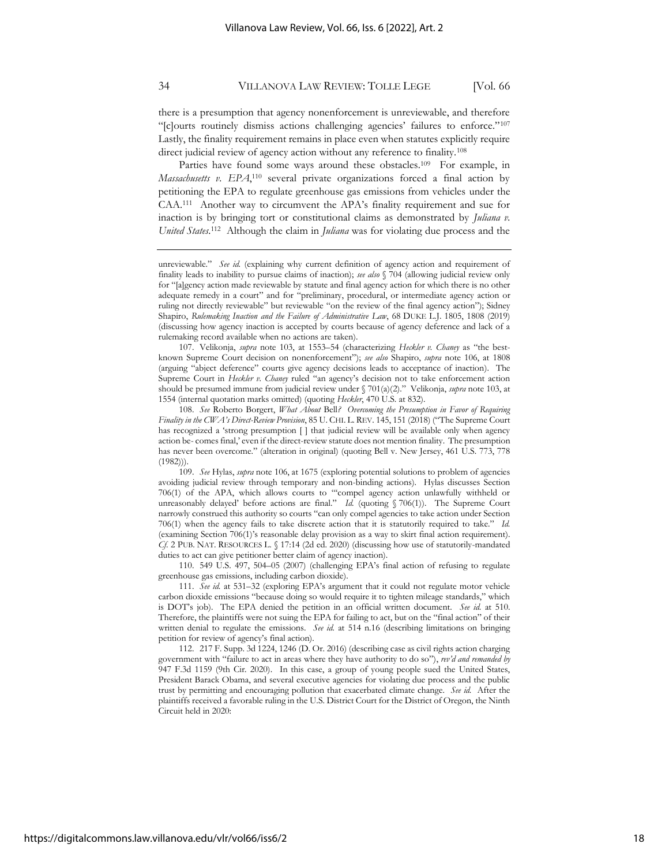there is a presumption that agency nonenforcement is unreviewable, and therefore "[c]ourts routinely dismiss actions challenging agencies' failures to enforce."<sup>107</sup> Lastly, the finality requirement remains in place even when statutes explicitly require direct judicial review of agency action without any reference to finality.<sup>108</sup>

Parties have found some ways around these obstacles.<sup>109</sup> For example, in *Massachusetts v. EPA*, <sup>110</sup> several private organizations forced a final action by petitioning the EPA to regulate greenhouse gas emissions from vehicles under the CAA.<sup>111</sup> Another way to circumvent the APA's finality requirement and sue for inaction is by bringing tort or constitutional claims as demonstrated by *Juliana v.*  United States.<sup>112</sup> Although the claim in *Juliana* was for violating due process and the

107. Velikonja, *supra* note 103, at 1553–54 (characterizing *Heckler v. Chaney* as "the bestknown Supreme Court decision on nonenforcement"); *see also* Shapiro, *supra* note 106, at 1808 (arguing "abject deference" courts give agency decisions leads to acceptance of inaction). The Supreme Court in *Heckler v. Chaney* ruled "an agency's decision not to take enforcement action should be presumed immune from judicial review under § 701(a)(2)." Velikonja, *supra* note 103, at 1554 (internal quotation marks omitted) (quoting *Heckler*, 470 U.S. at 832).

108. *See* Roberto Borgert, *What About* Bell*? Overcoming the Presumption in Favor of Requiring Finality in the CWA's Direct-Review Provision*, 85 U. CHI. L. REV. 145, 151 (2018) ("The Supreme Court has recognized a 'strong presumption [ ] that judicial review will be available only when agency action be- comes final,' even if the direct-review statute does not mention finality. The presumption has never been overcome." (alteration in original) (quoting Bell v. New Jersey, 461 U.S. 773, 778  $(1982))$ .

109. *See* Hylas, *supra* note 106, at 1675 (exploring potential solutions to problem of agencies avoiding judicial review through temporary and non-binding actions). Hylas discusses Section 706(1) of the APA, which allows courts to "'compel agency action unlawfully withheld or unreasonably delayed' before actions are final." *Id.* (quoting § 706(1)). The Supreme Court narrowly construed this authority so courts "can only compel agencies to take action under Section 706(1) when the agency fails to take discrete action that it is statutorily required to take." *Id.* (examining Section 706(1)'s reasonable delay provision as a way to skirt final action requirement). *Cf*. 2 PUB. NAT. RESOURCES L. § 17:14 (2d ed. 2020) (discussing how use of statutorily-mandated duties to act can give petitioner better claim of agency inaction).

110. 549 U.S. 497, 504–05 (2007) (challenging EPA's final action of refusing to regulate greenhouse gas emissions, including carbon dioxide).

111. *See id.* at 531–32 (exploring EPA's argument that it could not regulate motor vehicle carbon dioxide emissions "because doing so would require it to tighten mileage standards," which is DOT's job). The EPA denied the petition in an official written document. *See id.* at 510. Therefore, the plaintiffs were not suing the EPA for failing to act, but on the "final action" of their written denial to regulate the emissions. *See id.* at 514 n.16 (describing limitations on bringing petition for review of agency's final action).

112. 217 F. Supp. 3d 1224, 1246 (D. Or. 2016) (describing case as civil rights action charging government with "failure to act in areas where they have authority to do so"), *rev'd and remanded by*  947 F.3d 1159 (9th Cir. 2020). In this case, a group of young people sued the United States, President Barack Obama, and several executive agencies for violating due process and the public trust by permitting and encouraging pollution that exacerbated climate change. *See id.* After the plaintiffs received a favorable ruling in the U.S. District Court for the District of Oregon, the Ninth Circuit held in 2020:

unreviewable." *See id.* (explaining why current definition of agency action and requirement of finality leads to inability to pursue claims of inaction); *see also* § 704 (allowing judicial review only for "[a]gency action made reviewable by statute and final agency action for which there is no other adequate remedy in a court" and for "preliminary, procedural, or intermediate agency action or ruling not directly reviewable" but reviewable "on the review of the final agency action"); Sidney Shapiro, *Rulemaking Inaction and the Failure of Administrative Law*, 68 DUKE L.J. 1805, 1808 (2019) (discussing how agency inaction is accepted by courts because of agency deference and lack of a rulemaking record available when no actions are taken).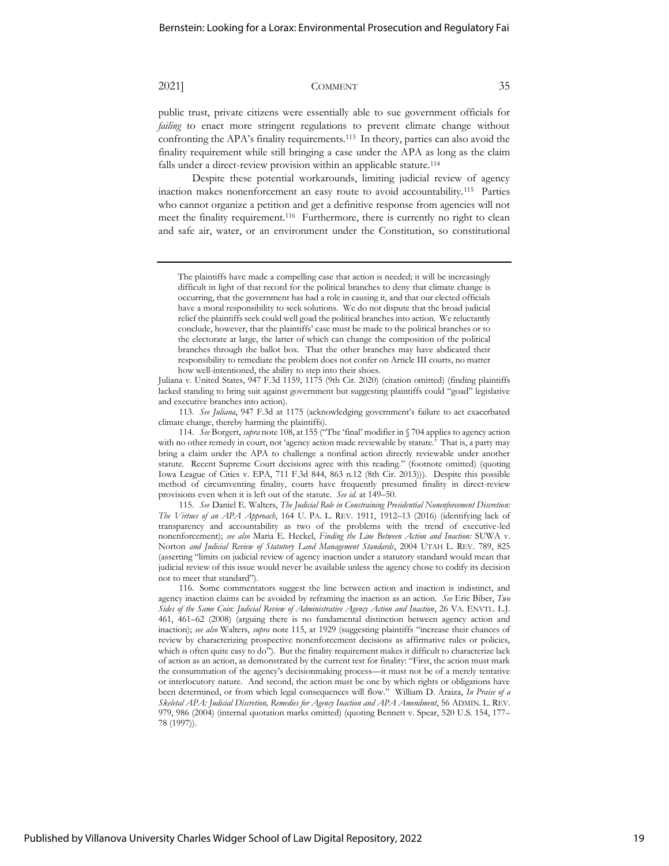public trust, private citizens were essentially able to sue government officials for *failing* to enact more stringent regulations to prevent climate change without confronting the APA's finality requirements.<sup>113</sup> In theory, parties can also avoid the finality requirement while still bringing a case under the APA as long as the claim falls under a direct-review provision within an applicable statute.<sup>114</sup>

Despite these potential workarounds, limiting judicial review of agency inaction makes nonenforcement an easy route to avoid accountability.<sup>115</sup> Parties who cannot organize a petition and get a definitive response from agencies will not meet the finality requirement.<sup>116</sup> Furthermore, there is currently no right to clean and safe air, water, or an environment under the Constitution, so constitutional

Juliana v. United States, 947 F.3d 1159, 1175 (9th Cir. 2020) (citation omitted) (finding plaintiffs lacked standing to bring suit against government but suggesting plaintiffs could "goad" legislative and executive branches into action).

113. *See Juliana*, 947 F.3d at 1175 (acknowledging government's failure to act exacerbated climate change, thereby harming the plaintiffs).

115. *See* Daniel E. Walters, *The Judicial Role in Constraining Presidential Nonenforcement Discretion: The Virtues of an APA Approach*, 164 U. PA. L. REV. 1911, 1912–13 (2016) (identifying lack of transparency and accountability as two of the problems with the trend of executive-led nonenforcement); *see also* Maria E. Heckel, *Finding the Line Between Action and Inaction:* SUWA v. Norton *and Judicial Review of Statutory Land Management Standards*, 2004 UTAH L. REV. 789, 825 (asserting "limits on judicial review of agency inaction under a statutory standard would mean that judicial review of this issue would never be available unless the agency chose to codify its decision not to meet that standard").

The plaintiffs have made a compelling case that action is needed; it will be increasingly difficult in light of that record for the political branches to deny that climate change is occurring, that the government has had a role in causing it, and that our elected officials have a moral responsibility to seek solutions. We do not dispute that the broad judicial relief the plaintiffs seek could well goad the political branches into action. We reluctantly conclude, however, that the plaintiffs' case must be made to the political branches or to the electorate at large, the latter of which can change the composition of the political branches through the ballot box. That the other branches may have abdicated their responsibility to remediate the problem does not confer on Article III courts, no matter how well-intentioned, the ability to step into their shoes.

<sup>114.</sup> *See* Borgert, *supra* note 108, at 155 ("The 'final' modifier in § 704 applies to agency action with no other remedy in court, not 'agency action made reviewable by statute.' That is, a party may bring a claim under the APA to challenge a nonfinal action directly reviewable under another statute. Recent Supreme Court decisions agree with this reading." (footnote omitted) (quoting Iowa League of Cities v. EPA, 711 F.3d 844, 863 n.12 (8th Cir. 2013))). Despite this possible method of circumventing finality, courts have frequently presumed finality in direct-review provisions even when it is left out of the statute. *See id.* at 149–50.

<sup>116.</sup> Some commentators suggest the line between action and inaction is indistinct, and agency inaction claims can be avoided by reframing the inaction as an action. *See* Eric Biber, *Two Sides of the Same Coin: Judicial Review of Administrative Agency Action and Inaction*, 26 VA. ENVTL. L.J. 461, 461–62 (2008) (arguing there is no fundamental distinction between agency action and inaction); *see also* Walters, *supra* note 115, at 1929 (suggesting plaintiffs "increase their chances of review by characterizing prospective nonenforcement decisions as affirmative rules or policies, which is often quite easy to do"). But the finality requirement makes it difficult to characterize lack of action as an action, as demonstrated by the current test for finality: "First, the action must mark the consummation of the agency's decisionmaking process—it must not be of a merely tentative or interlocutory nature. And second, the action must be one by which rights or obligations have been determined, or from which legal consequences will flow." William D. Araiza, *In Praise of a Skeletal APA: Judicial Discretion, Remedies for Agency Inaction and APA Amendment*, 56 ADMIN. L. REV. 979, 986 (2004) (internal quotation marks omitted) (quoting Bennett v. Spear, 520 U.S. 154, 177– 78 (1997)).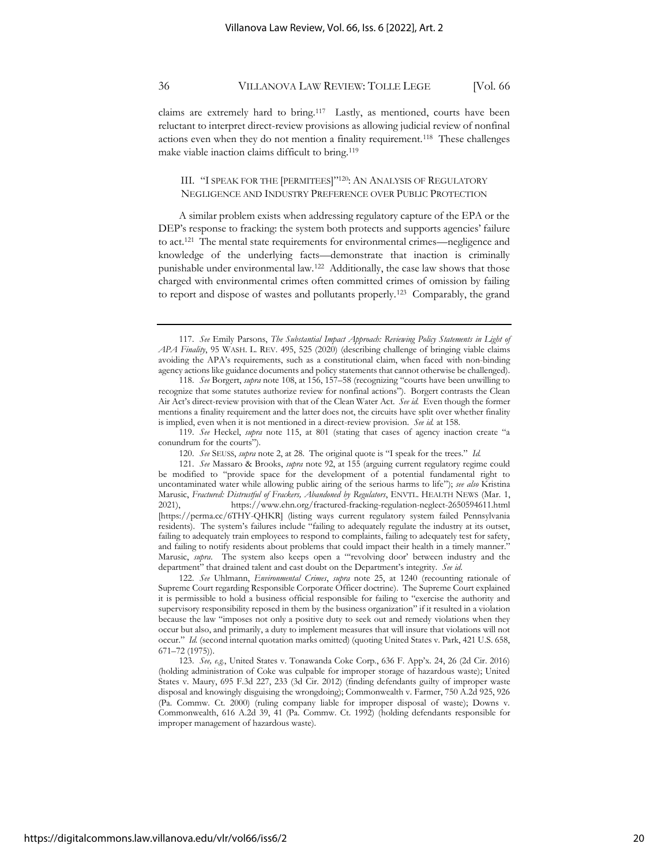claims are extremely hard to bring.<sup>117</sup> Lastly, as mentioned, courts have been reluctant to interpret direct-review provisions as allowing judicial review of nonfinal actions even when they do not mention a finality requirement.<sup>118</sup> These challenges make viable inaction claims difficult to bring.<sup>119</sup>

## III. "I SPEAK FOR THE [PERMITEES]"120: AN ANALYSIS OF REGULATORY NEGLIGENCE AND INDUSTRY PREFERENCE OVER PUBLIC PROTECTION

A similar problem exists when addressing regulatory capture of the EPA or the DEP's response to fracking: the system both protects and supports agencies' failure to act.<sup>121</sup> The mental state requirements for environmental crimes—negligence and knowledge of the underlying facts—demonstrate that inaction is criminally punishable under environmental law.<sup>122</sup> Additionally, the case law shows that those charged with environmental crimes often committed crimes of omission by failing to report and dispose of wastes and pollutants properly.<sup>123</sup> Comparably, the grand

122. *See* Uhlmann, *Environmental Crimes*, *supra* note 25, at 1240 (recounting rationale of Supreme Court regarding Responsible Corporate Officer doctrine). The Supreme Court explained it is permissible to hold a business official responsible for failing to "exercise the authority and supervisory responsibility reposed in them by the business organization" if it resulted in a violation because the law "imposes not only a positive duty to seek out and remedy violations when they occur but also, and primarily, a duty to implement measures that will insure that violations will not occur." *Id.* (second internal quotation marks omitted) (quoting United States v. Park, 421 U.S. 658, 671–72 (1975)).

<sup>117.</sup> *See* Emily Parsons, *The Substantial Impact Approach: Reviewing Policy Statements in Light of APA Finality*, 95 WASH. L. REV. 495, 525 (2020) (describing challenge of bringing viable claims avoiding the APA's requirements, such as a constitutional claim, when faced with non-binding agency actions like guidance documents and policy statements that cannot otherwise be challenged).

<sup>118.</sup> *See* Borgert, *supra* note 108, at 156, 157–58 (recognizing "courts have been unwilling to recognize that some statutes authorize review for nonfinal actions"). Borgert contrasts the Clean Air Act's direct-review provision with that of the Clean Water Act. *See id.* Even though the former mentions a finality requirement and the latter does not, the circuits have split over whether finality is implied, even when it is not mentioned in a direct-review provision. *See id.* at 158.

<sup>119.</sup> *See* Heckel, *supra* note 115, at 801 (stating that cases of agency inaction create "a conundrum for the courts").

<sup>120.</sup> *See* SEUSS, *supra* note 2, at 28. The original quote is "I speak for the trees." *Id.*

<sup>121.</sup> *See* Massaro & Brooks, *supra* note 92, at 155 (arguing current regulatory regime could be modified to "provide space for the development of a potential fundamental right to uncontaminated water while allowing public airing of the serious harms to life"); *see also* Kristina Marusic, *Fractured: Distrustful of Frackers, Abandoned by Regulators*, ENVTL. HEALTH NEWS (Mar. 1, 2021), https://www.ehn.org/fractured-fracking-regulation-neglect-2650594611.html [https://perma.cc/6THY-QHKR] (listing ways current regulatory system failed Pennsylvania residents). The system's failures include "failing to adequately regulate the industry at its outset, failing to adequately train employees to respond to complaints, failing to adequately test for safety, and failing to notify residents about problems that could impact their health in a timely manner." Marusic, *supra*. The system also keeps open a "'revolving door' between industry and the department" that drained talent and cast doubt on the Department's integrity. *See id*.

<sup>123.</sup> *See, e.g.*, United States v. Tonawanda Coke Corp., 636 F. App'x. 24, 26 (2d Cir. 2016) (holding administration of Coke was culpable for improper storage of hazardous waste); United States v. Maury, 695 F.3d 227, 233 (3d Cir. 2012) (finding defendants guilty of improper waste disposal and knowingly disguising the wrongdoing); Commonwealth v. Farmer, 750 A.2d 925, 926 (Pa. Commw. Ct. 2000) (ruling company liable for improper disposal of waste); Downs v. Commonwealth, 616 A.2d 39, 41 (Pa. Commw. Ct. 1992) (holding defendants responsible for improper management of hazardous waste).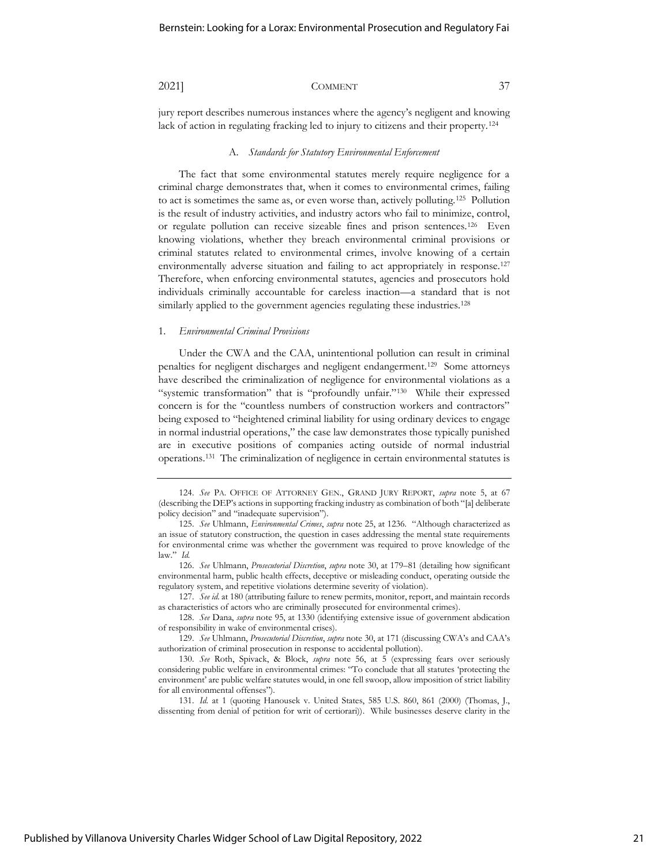jury report describes numerous instances where the agency's negligent and knowing lack of action in regulating fracking led to injury to citizens and their property.<sup>124</sup>

#### A. *Standards for Statutory Environmental Enforcement*

The fact that some environmental statutes merely require negligence for a criminal charge demonstrates that, when it comes to environmental crimes, failing to act is sometimes the same as, or even worse than, actively polluting.<sup>125</sup> Pollution is the result of industry activities, and industry actors who fail to minimize, control, or regulate pollution can receive sizeable fines and prison sentences.<sup>126</sup> Even knowing violations, whether they breach environmental criminal provisions or criminal statutes related to environmental crimes, involve knowing of a certain environmentally adverse situation and failing to act appropriately in response.<sup>127</sup> Therefore, when enforcing environmental statutes, agencies and prosecutors hold individuals criminally accountable for careless inaction—a standard that is not similarly applied to the government agencies regulating these industries.<sup>128</sup>

#### 1. *Environmental Criminal Provisions*

Under the CWA and the CAA, unintentional pollution can result in criminal penalties for negligent discharges and negligent endangerment.<sup>129</sup> Some attorneys have described the criminalization of negligence for environmental violations as a "systemic transformation" that is "profoundly unfair."<sup>130</sup> While their expressed concern is for the "countless numbers of construction workers and contractors" being exposed to "heightened criminal liability for using ordinary devices to engage in normal industrial operations," the case law demonstrates those typically punished are in executive positions of companies acting outside of normal industrial operations.<sup>131</sup> The criminalization of negligence in certain environmental statutes is

<sup>124.</sup> *See* PA. OFFICE OF ATTORNEY GEN., GRAND JURY REPORT, *supra* note 5, at 67 (describing the DEP's actions in supporting fracking industry as combination of both "[a] deliberate policy decision" and "inadequate supervision").

<sup>125.</sup> *See* Uhlmann, *Environmental Crimes*, *supra* note 25, at 1236. "Although characterized as an issue of statutory construction, the question in cases addressing the mental state requirements for environmental crime was whether the government was required to prove knowledge of the law." *Id.*

<sup>126.</sup> *See* Uhlmann, *Prosecutorial Discretion*, *supra* note 30, at 179–81 (detailing how significant environmental harm, public health effects, deceptive or misleading conduct, operating outside the regulatory system, and repetitive violations determine severity of violation).

<sup>127.</sup> *See id.* at 180 (attributing failure to renew permits, monitor, report, and maintain records as characteristics of actors who are criminally prosecuted for environmental crimes).

<sup>128.</sup> *See* Dana, *supra* note 95, at 1330 (identifying extensive issue of government abdication of responsibility in wake of environmental crises).

<sup>129.</sup> *See* Uhlmann, *Prosecutorial Discretion*, *supra* note 30, at 171 (discussing CWA's and CAA's authorization of criminal prosecution in response to accidental pollution).

<sup>130.</sup> *See* Roth, Spivack, & Block, *supra* note 56, at 5 (expressing fears over seriously considering public welfare in environmental crimes: "To conclude that all statutes 'protecting the environment' are public welfare statutes would, in one fell swoop, allow imposition of strict liability for all environmental offenses").

<sup>131.</sup> *Id.* at 1 (quoting Hanousek v. United States, 585 U.S. 860, 861 (2000) (Thomas, J., dissenting from denial of petition for writ of certiorari)). While businesses deserve clarity in the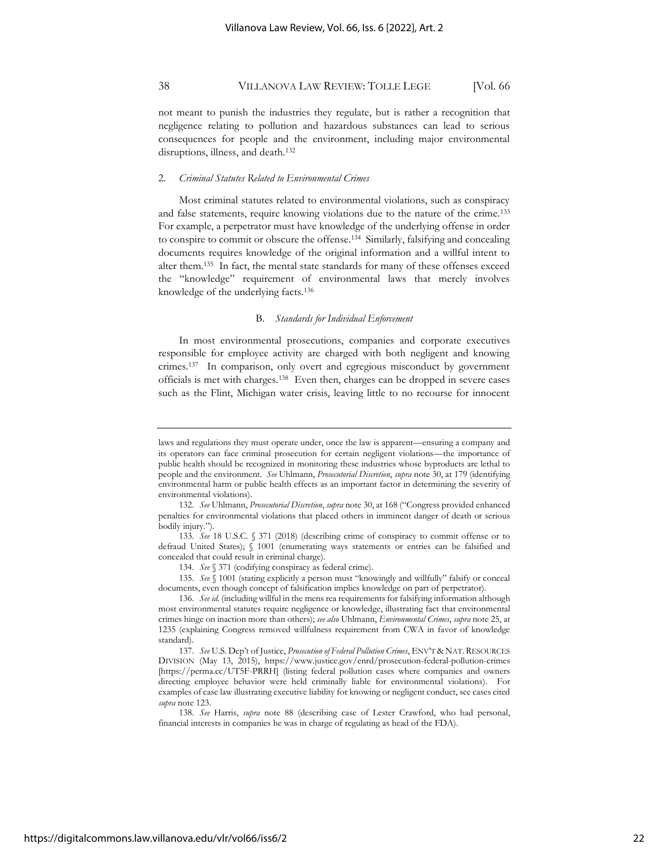not meant to punish the industries they regulate, but is rather a recognition that negligence relating to pollution and hazardous substances can lead to serious consequences for people and the environment, including major environmental disruptions, illness, and death.<sup>132</sup>

### 2. *Criminal Statutes Related to Environmental Crimes*

Most criminal statutes related to environmental violations, such as conspiracy and false statements, require knowing violations due to the nature of the crime.<sup>133</sup> For example, a perpetrator must have knowledge of the underlying offense in order to conspire to commit or obscure the offense.<sup>134</sup> Similarly, falsifying and concealing documents requires knowledge of the original information and a willful intent to alter them.<sup>135</sup> In fact, the mental state standards for many of these offenses exceed the "knowledge" requirement of environmental laws that merely involves knowledge of the underlying facts.<sup>136</sup>

### B. *Standards for Individual Enforcement*

In most environmental prosecutions, companies and corporate executives responsible for employee activity are charged with both negligent and knowing crimes.<sup>137</sup> In comparison, only overt and egregious misconduct by government officials is met with charges.<sup>138</sup> Even then, charges can be dropped in severe cases such as the Flint, Michigan water crisis, leaving little to no recourse for innocent

laws and regulations they must operate under, once the law is apparent—ensuring a company and its operators can face criminal prosecution for certain negligent violations—the importance of public health should be recognized in monitoring these industries whose byproducts are lethal to people and the environment. *See* Uhlmann, *Prosecutorial Discretion*, *supra* note 30, at 179 (identifying environmental harm or public health effects as an important factor in determining the severity of environmental violations).

<sup>132.</sup> *See* Uhlmann, *Prosecutorial Discretion*, *supra* note 30, at 168 ("Congress provided enhanced penalties for environmental violations that placed others in imminent danger of death or serious bodily injury.").

<sup>133.</sup> *See* 18 U.S.C. § 371 (2018) (describing crime of conspiracy to commit offense or to defraud United States); § 1001 (enumerating ways statements or entries can be falsified and concealed that could result in criminal charge).

<sup>134.</sup> *See* § 371 (codifying conspiracy as federal crime).

<sup>135.</sup> *See* § 1001 (stating explicitly a person must "knowingly and willfully" falsify or conceal documents, even though concept of falsification implies knowledge on part of perpetrator).

<sup>136.</sup> *See id.* (including willful in the mens rea requirements for falsifying information although most environmental statutes require negligence or knowledge, illustrating fact that environmental crimes hinge on inaction more than others); *see also* Uhlmann, *Environmental Crimes*, *supra* note 25, at 1235 (explaining Congress removed willfulness requirement from CWA in favor of knowledge standard).

<sup>137.</sup> *See* U.S. Dep't of Justice, *Prosecution of Federal Pollution Crimes*, ENV'T & NAT. RESOURCES DIVISION (May 13, 2015), https://www.justice.gov/enrd/prosecution-federal-pollution-crimes [https://perma.cc/UT5F-PRRH] (listing federal pollution cases where companies and owners directing employee behavior were held criminally liable for environmental violations). For examples of case law illustrating executive liability for knowing or negligent conduct, see cases cited *supra* note 123.

<sup>138.</sup> *See* Harris, *supra* note 88 (describing case of Lester Crawford, who had personal, financial interests in companies he was in charge of regulating as head of the FDA).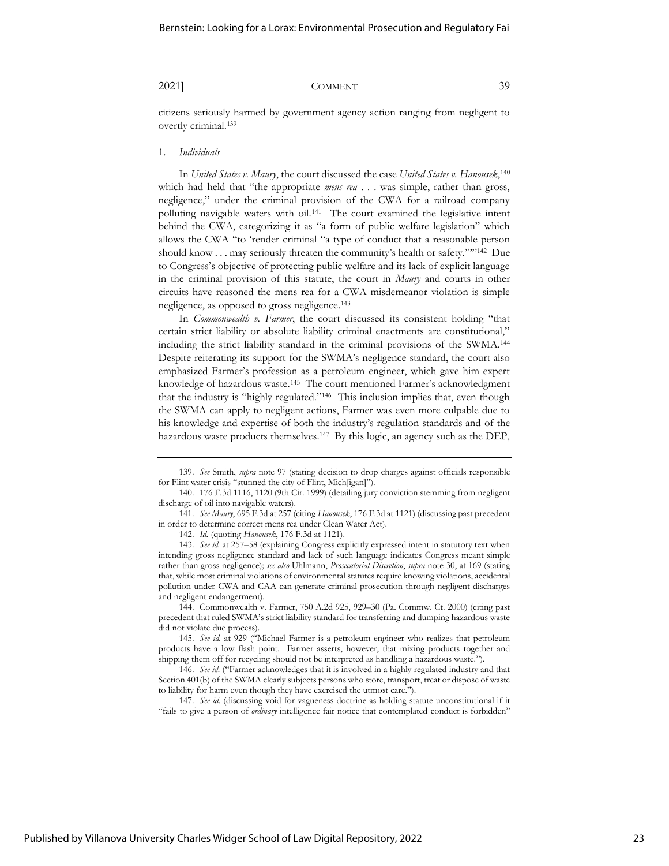citizens seriously harmed by government agency action ranging from negligent to overtly criminal.<sup>139</sup>

### 1. *Individuals*

In *United States v. Maury*, the court discussed the case *United States v. Hanousek*, 140 which had held that "the appropriate *mens rea* . . . was simple, rather than gross, negligence," under the criminal provision of the CWA for a railroad company polluting navigable waters with oil.<sup>141</sup> The court examined the legislative intent behind the CWA, categorizing it as "a form of public welfare legislation" which allows the CWA "to 'render criminal "a type of conduct that a reasonable person should know . . . may seriously threaten the community's health or safety.""<sup>142</sup> Due to Congress's objective of protecting public welfare and its lack of explicit language in the criminal provision of this statute, the court in *Maury* and courts in other circuits have reasoned the mens rea for a CWA misdemeanor violation is simple negligence, as opposed to gross negligence.<sup>143</sup>

In *Commonwealth v. Farmer*, the court discussed its consistent holding "that certain strict liability or absolute liability criminal enactments are constitutional," including the strict liability standard in the criminal provisions of the SWMA.<sup>144</sup> Despite reiterating its support for the SWMA's negligence standard, the court also emphasized Farmer's profession as a petroleum engineer, which gave him expert knowledge of hazardous waste.<sup>145</sup> The court mentioned Farmer's acknowledgment that the industry is "highly regulated."<sup>146</sup> This inclusion implies that, even though the SWMA can apply to negligent actions, Farmer was even more culpable due to his knowledge and expertise of both the industry's regulation standards and of the hazardous waste products themselves.<sup>147</sup> By this logic, an agency such as the DEP,

144. Commonwealth v. Farmer, 750 A.2d 925, 929–30 (Pa. Commw. Ct. 2000) (citing past precedent that ruled SWMA's strict liability standard for transferring and dumping hazardous waste did not violate due process).

145. *See id.* at 929 ("Michael Farmer is a petroleum engineer who realizes that petroleum products have a low flash point. Farmer asserts, however, that mixing products together and shipping them off for recycling should not be interpreted as handling a hazardous waste.").

146. *See id.* ("Farmer acknowledges that it is involved in a highly regulated industry and that Section 401(b) of the SWMA clearly subjects persons who store, transport, treat or dispose of waste to liability for harm even though they have exercised the utmost care.").

147. *See id.* (discussing void for vagueness doctrine as holding statute unconstitutional if it "fails to give a person of *ordinary* intelligence fair notice that contemplated conduct is forbidden"

<sup>139.</sup> *See* Smith, *supra* note 97 (stating decision to drop charges against officials responsible for Flint water crisis "stunned the city of Flint, Mich[igan]").

<sup>140.</sup> 176 F.3d 1116, 1120 (9th Cir. 1999) (detailing jury conviction stemming from negligent discharge of oil into navigable waters).

<sup>141.</sup> *See Maury*, 695 F.3d at 257 (citing *Hanousek*, 176 F.3d at 1121) (discussing past precedent in order to determine correct mens rea under Clean Water Act).

<sup>142.</sup> *Id.* (quoting *Hanousek*, 176 F.3d at 1121).

<sup>143.</sup> *See id.* at 257–58 (explaining Congress explicitly expressed intent in statutory text when intending gross negligence standard and lack of such language indicates Congress meant simple rather than gross negligence); *see also* Uhlmann, *Prosecutorial Discretion*, *supra* note 30, at 169 (stating that, while most criminal violations of environmental statutes require knowing violations, accidental pollution under CWA and CAA can generate criminal prosecution through negligent discharges and negligent endangerment).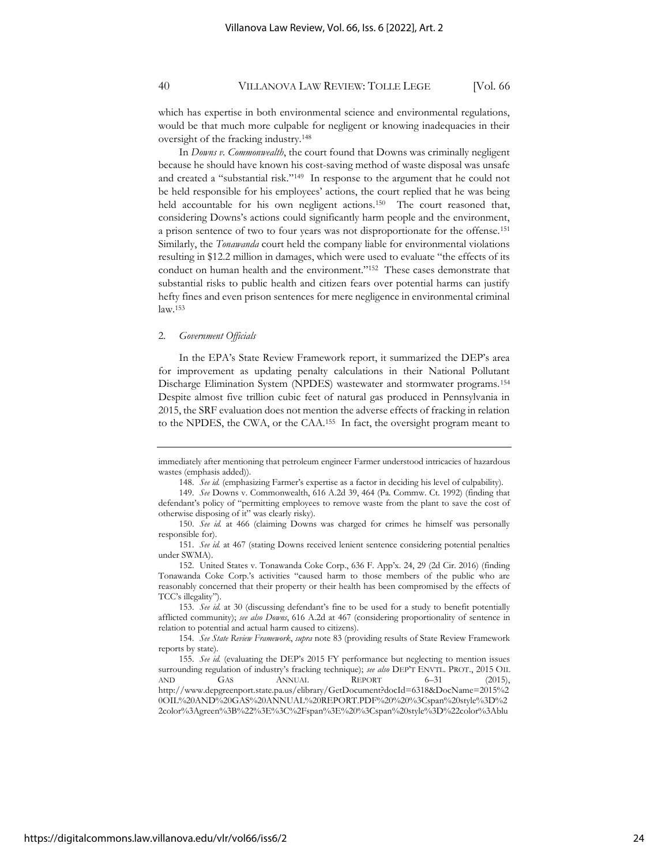which has expertise in both environmental science and environmental regulations, would be that much more culpable for negligent or knowing inadequacies in their oversight of the fracking industry.<sup>148</sup>

In *Downs v. Commonwealth*, the court found that Downs was criminally negligent because he should have known his cost-saving method of waste disposal was unsafe and created a "substantial risk."<sup>149</sup> In response to the argument that he could not be held responsible for his employees' actions, the court replied that he was being held accountable for his own negligent actions.<sup>150</sup> The court reasoned that, considering Downs's actions could significantly harm people and the environment, a prison sentence of two to four years was not disproportionate for the offense.<sup>151</sup> Similarly, the *Tonawanda* court held the company liable for environmental violations resulting in \$12.2 million in damages, which were used to evaluate "the effects of its conduct on human health and the environment."<sup>152</sup> These cases demonstrate that substantial risks to public health and citizen fears over potential harms can justify hefty fines and even prison sentences for mere negligence in environmental criminal law.<sup>153</sup>

#### 2. *Government Officials*

In the EPA's State Review Framework report, it summarized the DEP's area for improvement as updating penalty calculations in their National Pollutant Discharge Elimination System (NPDES) wastewater and stormwater programs.<sup>154</sup> Despite almost five trillion cubic feet of natural gas produced in Pennsylvania in 2015, the SRF evaluation does not mention the adverse effects of fracking in relation to the NPDES, the CWA, or the CAA.<sup>155</sup> In fact, the oversight program meant to

153. *See id.* at 30 (discussing defendant's fine to be used for a study to benefit potentially afflicted community); *see also Downs*, 616 A.2d at 467 (considering proportionality of sentence in relation to potential and actual harm caused to citizens).

154. *See State Review Framework*, *supra* note 83 (providing results of State Review Framework reports by state).

immediately after mentioning that petroleum engineer Farmer understood intricacies of hazardous wastes (emphasis added)).

<sup>148.</sup> *See id.* (emphasizing Farmer's expertise as a factor in deciding his level of culpability).

<sup>149.</sup> *See* Downs v. Commonwealth, 616 A.2d 39, 464 (Pa. Commw. Ct. 1992) (finding that defendant's policy of "permitting employees to remove waste from the plant to save the cost of otherwise disposing of it" was clearly risky).

<sup>150.</sup> *See id.* at 466 (claiming Downs was charged for crimes he himself was personally responsible for).

<sup>151.</sup> *See id.* at 467 (stating Downs received lenient sentence considering potential penalties under SWMA).

<sup>152.</sup> United States v. Tonawanda Coke Corp., 636 F. App'x. 24, 29 (2d Cir. 2016) (finding Tonawanda Coke Corp.'s activities "caused harm to those members of the public who are reasonably concerned that their property or their health has been compromised by the effects of TCC's illegality").

<sup>155.</sup> *See id.* (evaluating the DEP's 2015 FY performance but neglecting to mention issues surrounding regulation of industry's fracking technique); *see also* DEP'T ENVTL. PROT., 2015 OIL AND GAS ANNUAL REPORT 6–31 (2015), http://www.depgreenport.state.pa.us/elibrary/GetDocument?docId=6318&DocName=2015%2 0OIL%20AND%20GAS%20ANNUAL%20REPORT.PDF%20%20%3Cspan%20style%3D%2 2color%3Agreen%3B%22%3E%3C%2Fspan%3E%20%3Cspan%20style%3D%22color%3Ablu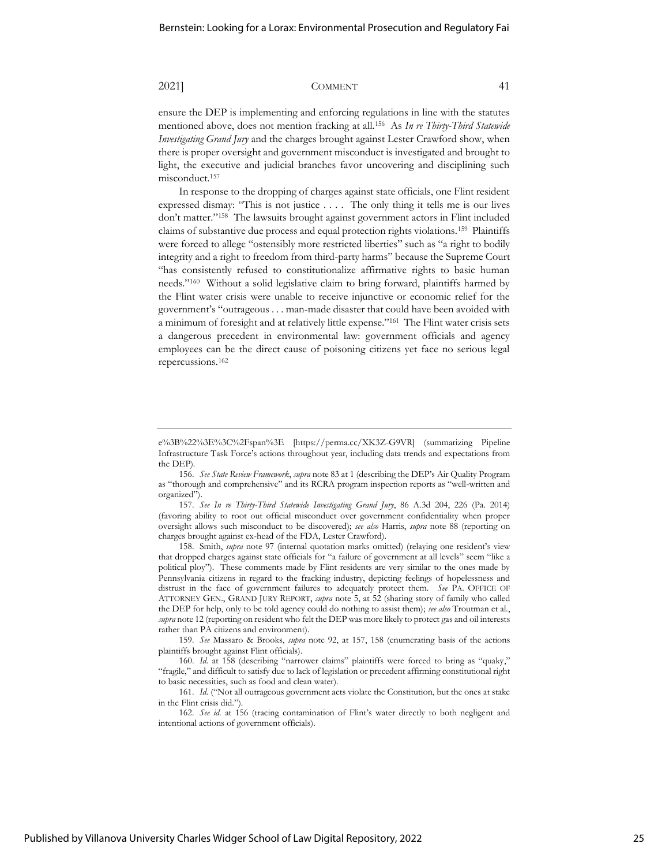ensure the DEP is implementing and enforcing regulations in line with the statutes mentioned above, does not mention fracking at all.<sup>156</sup> As *In re Thirty-Third Statewide Investigating Grand Jury* and the charges brought against Lester Crawford show, when there is proper oversight and government misconduct is investigated and brought to light, the executive and judicial branches favor uncovering and disciplining such misconduct.<sup>157</sup>

In response to the dropping of charges against state officials, one Flint resident expressed dismay: "This is not justice . . . . The only thing it tells me is our lives don't matter."<sup>158</sup> The lawsuits brought against government actors in Flint included claims of substantive due process and equal protection rights violations.<sup>159</sup> Plaintiffs were forced to allege "ostensibly more restricted liberties" such as "a right to bodily integrity and a right to freedom from third-party harms" because the Supreme Court "has consistently refused to constitutionalize affirmative rights to basic human needs."<sup>160</sup> Without a solid legislative claim to bring forward, plaintiffs harmed by the Flint water crisis were unable to receive injunctive or economic relief for the government's "outrageous . . . man-made disaster that could have been avoided with a minimum of foresight and at relatively little expense."<sup>161</sup> The Flint water crisis sets a dangerous precedent in environmental law: government officials and agency employees can be the direct cause of poisoning citizens yet face no serious legal repercussions.<sup>162</sup>

158. Smith, *supra* note 97 (internal quotation marks omitted) (relaying one resident's view that dropped charges against state officials for "a failure of government at all levels" seem "like a political ploy"). These comments made by Flint residents are very similar to the ones made by Pennsylvania citizens in regard to the fracking industry, depicting feelings of hopelessness and distrust in the face of government failures to adequately protect them. *See* PA. OFFICE OF ATTORNEY GEN., GRAND JURY REPORT, *supra* note 5, at 52 (sharing story of family who called the DEP for help, only to be told agency could do nothing to assist them); *see also* Troutman et al., *supra* note 12 (reporting on resident who felt the DEP was more likely to protect gas and oil interests rather than PA citizens and environment).

159. *See* Massaro & Brooks, *supra* note 92, at 157, 158 (enumerating basis of the actions plaintiffs brought against Flint officials).

e%3B%22%3E%3C%2Fspan%3E [https://perma.cc/XK3Z-G9VR] (summarizing Pipeline Infrastructure Task Force's actions throughout year, including data trends and expectations from the DEP).

<sup>156.</sup> *See State Review Framework*, *supra* note 83 at 1 (describing the DEP's Air Quality Program as "thorough and comprehensive" and its RCRA program inspection reports as "well-written and organized").

<sup>157.</sup> *See In re Thirty-Third Statewide Investigating Grand Jury*, 86 A.3d 204, 226 (Pa. 2014) (favoring ability to root out official misconduct over government confidentiality when proper oversight allows such misconduct to be discovered); *see also* Harris, *supra* note 88 (reporting on charges brought against ex-head of the FDA, Lester Crawford).

<sup>160.</sup> *Id.* at 158 (describing "narrower claims" plaintiffs were forced to bring as "quaky," "fragile," and difficult to satisfy due to lack of legislation or precedent affirming constitutional right to basic necessities, such as food and clean water).

<sup>161.</sup> *Id.* ("Not all outrageous government acts violate the Constitution, but the ones at stake in the Flint crisis did.").

<sup>162.</sup> *See id.* at 156 (tracing contamination of Flint's water directly to both negligent and intentional actions of government officials).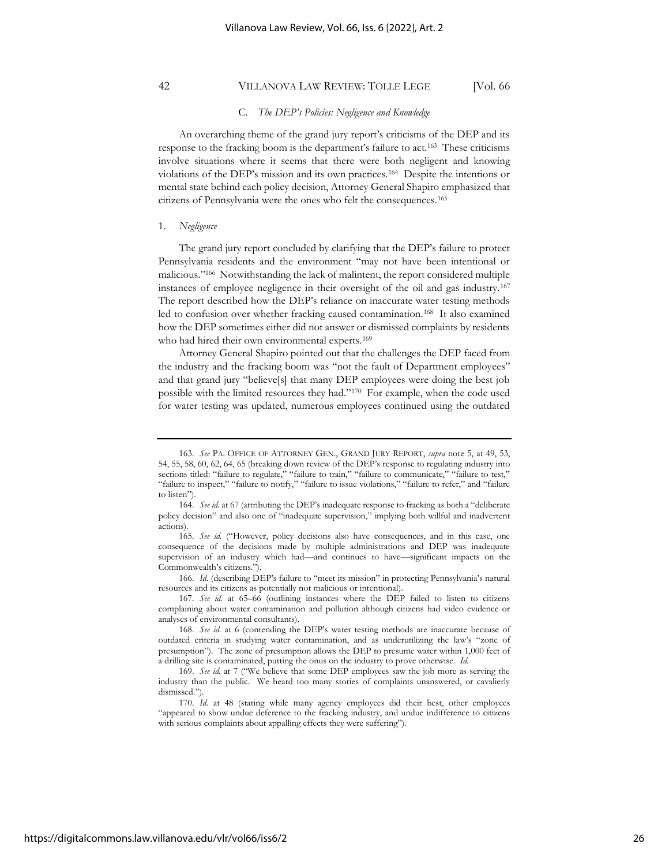#### C. *The DEP's Policies: Negligence and Knowledge*

An overarching theme of the grand jury report's criticisms of the DEP and its response to the fracking boom is the department's failure to act.<sup>163</sup> These criticisms involve situations where it seems that there were both negligent and knowing violations of the DEP's mission and its own practices.<sup>164</sup> Despite the intentions or mental state behind each policy decision, Attorney General Shapiro emphasized that citizens of Pennsylvania were the ones who felt the consequences.<sup>165</sup>

### 1. *Negligence*

The grand jury report concluded by clarifying that the DEP's failure to protect Pennsylvania residents and the environment "may not have been intentional or malicious."<sup>166</sup> Notwithstanding the lack of malintent, the report considered multiple instances of employee negligence in their oversight of the oil and gas industry.<sup>167</sup> The report described how the DEP's reliance on inaccurate water testing methods led to confusion over whether fracking caused contamination.<sup>168</sup> It also examined how the DEP sometimes either did not answer or dismissed complaints by residents who had hired their own environmental experts.<sup>169</sup>

Attorney General Shapiro pointed out that the challenges the DEP faced from the industry and the fracking boom was "not the fault of Department employees" and that grand jury "believe[s] that many DEP employees were doing the best job possible with the limited resources they had."<sup>170</sup> For example, when the code used for water testing was updated, numerous employees continued using the outdated

166. *Id.* (describing DEP's failure to "meet its mission" in protecting Pennsylvania's natural resources and its citizens as potentially not malicious or intentional).

167. *See id.* at 65–66 (outlining instances where the DEP failed to listen to citizens complaining about water contamination and pollution although citizens had video evidence or analyses of environmental consultants).

<sup>163.</sup> *See* PA. OFFICE OF ATTORNEY GEN., GRAND JURY REPORT, *supra* note 5, at 49, 53, 54, 55, 58, 60, 62, 64, 65 (breaking down review of the DEP's response to regulating industry into sections titled: "failure to regulate," "failure to train," "failure to communicate," "failure to test," "failure to inspect," "failure to notify," "failure to issue violations," "failure to refer," and "failure to listen").

<sup>164.</sup> *See id.* at 67 (attributing the DEP's inadequate response to fracking as both a "deliberate policy decision" and also one of "inadequate supervision," implying both willful and inadvertent actions).

<sup>165.</sup> *See id.* ("However, policy decisions also have consequences, and in this case, one consequence of the decisions made by multiple administrations and DEP was inadequate supervision of an industry which had—and continues to have—significant impacts on the Commonwealth's citizens.").

<sup>168.</sup> *See id.* at 6 (contending the DEP's water testing methods are inaccurate because of outdated criteria in studying water contamination, and as underutilizing the law's "zone of presumption"). The zone of presumption allows the DEP to presume water within 1,000 feet of a drilling site is contaminated, putting the onus on the industry to prove otherwise. *Id.*

<sup>169.</sup> *See id.* at 7 ("We believe that some DEP employees saw the job more as serving the industry than the public. We heard too many stories of complaints unanswered, or cavalierly dismissed.").

<sup>170.</sup> *Id.* at 48 (stating while many agency employees did their best, other employees "appeared to show undue deference to the fracking industry, and undue indifference to citizens with serious complaints about appalling effects they were suffering").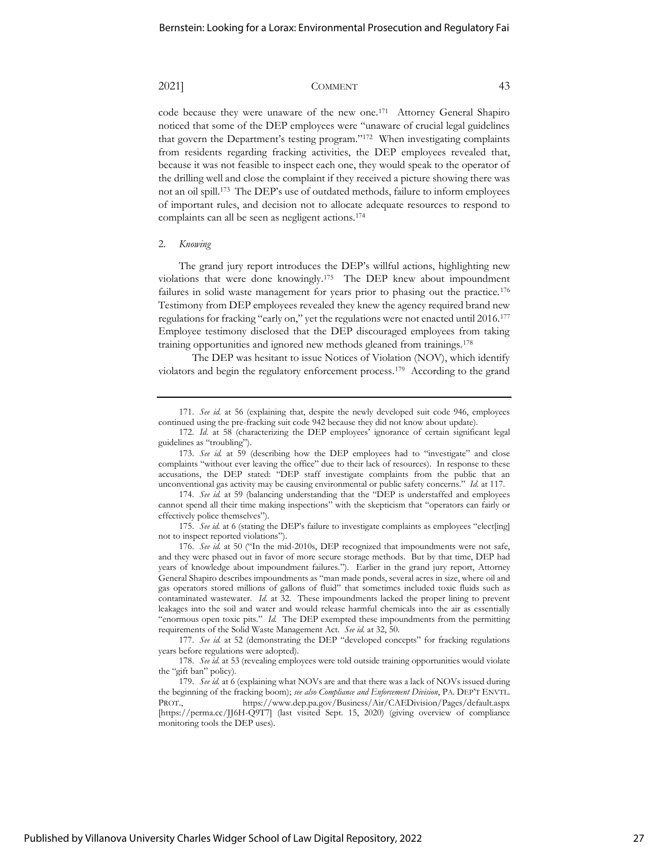code because they were unaware of the new one.<sup>171</sup> Attorney General Shapiro noticed that some of the DEP employees were "unaware of crucial legal guidelines that govern the Department's testing program."<sup>172</sup> When investigating complaints from residents regarding fracking activities, the DEP employees revealed that, because it was not feasible to inspect each one, they would speak to the operator of the drilling well and close the complaint if they received a picture showing there was not an oil spill.<sup>173</sup> The DEP's use of outdated methods, failure to inform employees of important rules, and decision not to allocate adequate resources to respond to complaints can all be seen as negligent actions.<sup>174</sup>

### 2. *Knowing*

The grand jury report introduces the DEP's willful actions, highlighting new violations that were done knowingly.<sup>175</sup> The DEP knew about impoundment failures in solid waste management for years prior to phasing out the practice.<sup>176</sup> Testimony from DEP employees revealed they knew the agency required brand new regulations for fracking "early on," yet the regulations were not enacted until 2016.<sup>177</sup> Employee testimony disclosed that the DEP discouraged employees from taking training opportunities and ignored new methods gleaned from trainings.<sup>178</sup>

The DEP was hesitant to issue Notices of Violation (NOV), which identify violators and begin the regulatory enforcement process.<sup>179</sup> According to the grand

174. *See id.* at 59 (balancing understanding that the "DEP is understaffed and employees cannot spend all their time making inspections" with the skepticism that "operators can fairly or effectively police themselves").

175. *See id.* at 6 (stating the DEP's failure to investigate complaints as employees "elect[ing] not to inspect reported violations").

176. *See id.* at 50 ("In the mid-2010s, DEP recognized that impoundments were not safe, and they were phased out in favor of more secure storage methods. But by that time, DEP had years of knowledge about impoundment failures."). Earlier in the grand jury report, Attorney General Shapiro describes impoundments as "man made ponds, several acres in size, where oil and gas operators stored millions of gallons of fluid" that sometimes included toxic fluids such as contaminated wastewater. *Id.* at 32. These impoundments lacked the proper lining to prevent leakages into the soil and water and would release harmful chemicals into the air as essentially "enormous open toxic pits." *Id.* The DEP exempted these impoundments from the permitting requirements of the Solid Waste Management Act. *See id.* at 32, 50.

177. *See id.* at 52 (demonstrating the DEP "developed concepts" for fracking regulations years before regulations were adopted).

178. *See id.* at 53 (revealing employees were told outside training opportunities would violate the "gift ban" policy).

<sup>171.</sup> *See id.* at 56 (explaining that, despite the newly developed suit code 946, employees continued using the pre-fracking suit code 942 because they did not know about update).

<sup>172.</sup> *Id.* at 58 (characterizing the DEP employees' ignorance of certain significant legal guidelines as "troubling").

<sup>173.</sup> *See id.* at 59 (describing how the DEP employees had to "investigate" and close complaints "without ever leaving the office" due to their lack of resources). In response to these accusations, the DEP stated: "DEP staff investigate complaints from the public that an unconventional gas activity may be causing environmental or public safety concerns." *Id.* at 117.

<sup>179.</sup> *See id.* at 6 (explaining what NOVs are and that there was a lack of NOVs issued during the beginning of the fracking boom); *see also Compliance and Enforcement Division*, PA. DEP'T ENVTL. PROT., https://www.dep.pa.gov/Business/Air/CAEDivision/Pages/default.aspx [https://perma.cc/JJ6H-Q9T7] (last visited Sept. 15, 2020) (giving overview of compliance monitoring tools the DEP uses).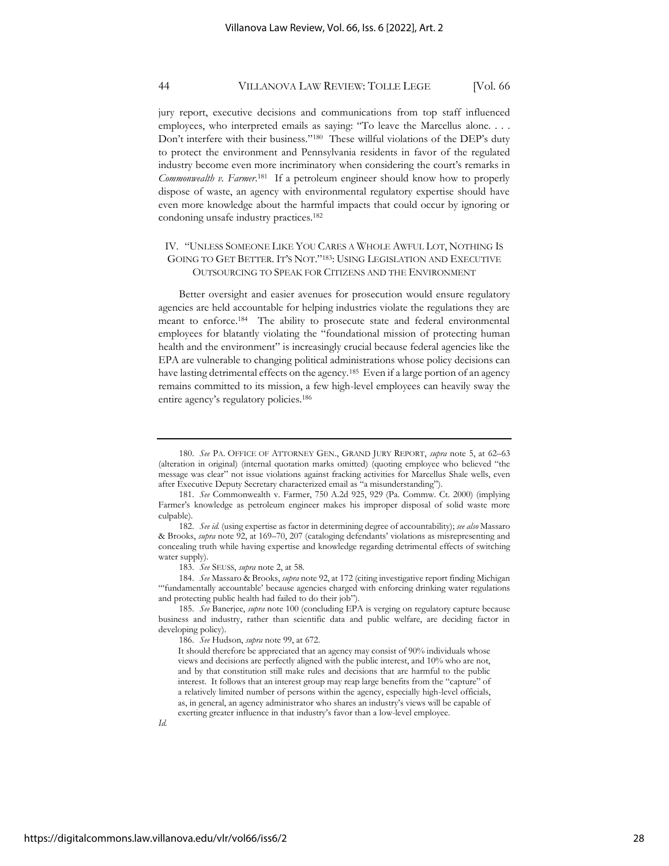jury report, executive decisions and communications from top staff influenced employees, who interpreted emails as saying: "To leave the Marcellus alone. . . . Don't interfere with their business."<sup>180</sup> These willful violations of the DEP's duty to protect the environment and Pennsylvania residents in favor of the regulated industry become even more incriminatory when considering the court's remarks in Commonwealth v. Farmer.<sup>181</sup> If a petroleum engineer should know how to properly dispose of waste, an agency with environmental regulatory expertise should have even more knowledge about the harmful impacts that could occur by ignoring or condoning unsafe industry practices.<sup>182</sup>

## IV. "UNLESS SOMEONE LIKE YOU CARES A WHOLE AWFUL LOT, NOTHING IS GOING TO GET BETTER. IT'S NOT."183: USING LEGISLATION AND EXECUTIVE OUTSOURCING TO SPEAK FOR CITIZENS AND THE ENVIRONMENT

Better oversight and easier avenues for prosecution would ensure regulatory agencies are held accountable for helping industries violate the regulations they are meant to enforce.<sup>184</sup> The ability to prosecute state and federal environmental employees for blatantly violating the "foundational mission of protecting human health and the environment" is increasingly crucial because federal agencies like the EPA are vulnerable to changing political administrations whose policy decisions can have lasting detrimental effects on the agency.<sup>185</sup> Even if a large portion of an agency remains committed to its mission, a few high-level employees can heavily sway the entire agency's regulatory policies.<sup>186</sup>

*Id.*

<sup>180.</sup> *See* PA. OFFICE OF ATTORNEY GEN., GRAND JURY REPORT, *supra* note 5, at 62–63 (alteration in original) (internal quotation marks omitted) (quoting employee who believed "the message was clear" not issue violations against fracking activities for Marcellus Shale wells, even after Executive Deputy Secretary characterized email as "a misunderstanding").

<sup>181.</sup> *See* Commonwealth v. Farmer, 750 A.2d 925, 929 (Pa. Commw. Ct. 2000) (implying Farmer's knowledge as petroleum engineer makes his improper disposal of solid waste more culpable).

<sup>182.</sup> *See id.* (using expertise as factor in determining degree of accountability); *see also* Massaro & Brooks, *supra* note 92, at 169–70, 207 (cataloging defendants' violations as misrepresenting and concealing truth while having expertise and knowledge regarding detrimental effects of switching water supply).

<sup>183.</sup> *See* SEUSS, *supra* note 2, at 58.

<sup>184.</sup> *See* Massaro & Brooks, *supra* note 92, at 172 (citing investigative report finding Michigan "'fundamentally accountable' because agencies charged with enforcing drinking water regulations and protecting public health had failed to do their job").

<sup>185.</sup> *See* Banerjee, *supra* note 100 (concluding EPA is verging on regulatory capture because business and industry, rather than scientific data and public welfare, are deciding factor in developing policy).

<sup>186.</sup> *See* Hudson, *supra* note 99, at 672.

It should therefore be appreciated that an agency may consist of 90% individuals whose views and decisions are perfectly aligned with the public interest, and 10% who are not, and by that constitution still make rules and decisions that are harmful to the public interest. It follows that an interest group may reap large benefits from the "capture" of a relatively limited number of persons within the agency, especially high-level officials, as, in general, an agency administrator who shares an industry's views will be capable of exerting greater influence in that industry's favor than a low-level employee.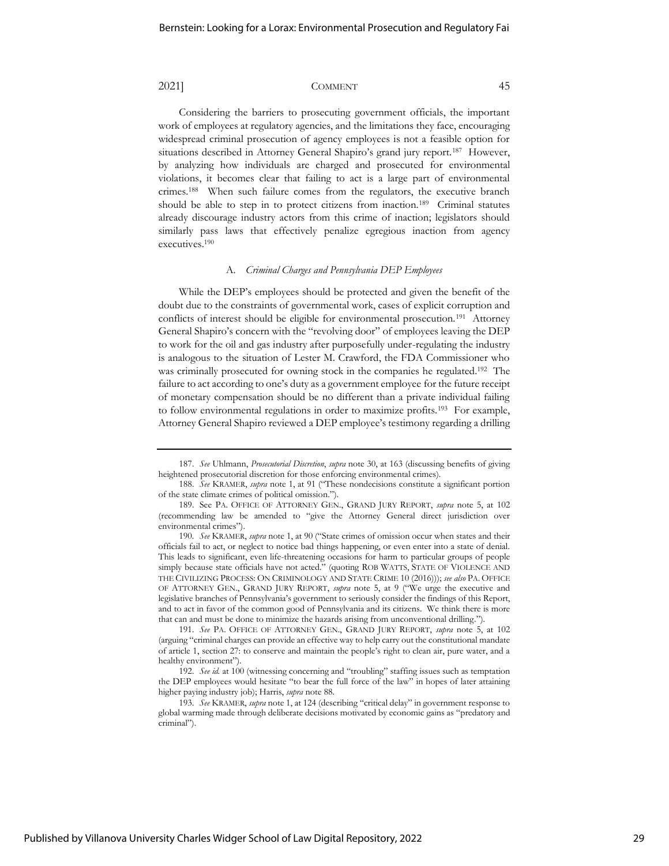Considering the barriers to prosecuting government officials, the important work of employees at regulatory agencies, and the limitations they face, encouraging widespread criminal prosecution of agency employees is not a feasible option for situations described in Attorney General Shapiro's grand jury report.<sup>187</sup> However, by analyzing how individuals are charged and prosecuted for environmental violations, it becomes clear that failing to act is a large part of environmental crimes.<sup>188</sup> When such failure comes from the regulators, the executive branch should be able to step in to protect citizens from inaction.<sup>189</sup> Criminal statutes already discourage industry actors from this crime of inaction; legislators should similarly pass laws that effectively penalize egregious inaction from agency executives.<sup>190</sup>

### A. *Criminal Charges and Pennsylvania DEP Employees*

While the DEP's employees should be protected and given the benefit of the doubt due to the constraints of governmental work, cases of explicit corruption and conflicts of interest should be eligible for environmental prosecution.<sup>191</sup> Attorney General Shapiro's concern with the "revolving door" of employees leaving the DEP to work for the oil and gas industry after purposefully under-regulating the industry is analogous to the situation of Lester M. Crawford, the FDA Commissioner who was criminally prosecuted for owning stock in the companies he regulated.<sup>192</sup> The failure to act according to one's duty as a government employee for the future receipt of monetary compensation should be no different than a private individual failing to follow environmental regulations in order to maximize profits.<sup>193</sup> For example, Attorney General Shapiro reviewed a DEP employee's testimony regarding a drilling

<sup>187.</sup> *See* Uhlmann, *Prosecutorial Discretion*, *supra* note 30, at 163 (discussing benefits of giving heightened prosecutorial discretion for those enforcing environmental crimes).

<sup>188.</sup> *See* KRAMER, *supra* note 1, at 91 ("These nondecisions constitute a significant portion of the state climate crimes of political omission.").

<sup>189.</sup> See PA. OFFICE OF ATTORNEY GEN., GRAND JURY REPORT, *supra* note 5, at 102 (recommending law be amended to "give the Attorney General direct jurisdiction over environmental crimes").

<sup>190</sup>*. See* KRAMER, *supra* note 1, at 90 ("State crimes of omission occur when states and their officials fail to act, or neglect to notice bad things happening, or even enter into a state of denial. This leads to significant, even life-threatening occasions for harm to particular groups of people simply because state officials have not acted." (quoting ROB WATTS, STATE OF VIOLENCE AND THE CIVILIZING PROCESS: ON CRIMINOLOGY AND STATE CRIME 10 (2016))); *see also* PA. OFFICE OF ATTORNEY GEN., GRAND JURY REPORT, *supra* note 5, at 9 ("We urge the executive and legislative branches of Pennsylvania's government to seriously consider the findings of this Report, and to act in favor of the common good of Pennsylvania and its citizens. We think there is more that can and must be done to minimize the hazards arising from unconventional drilling.").

<sup>191.</sup> *See* PA. OFFICE OF ATTORNEY GEN., GRAND JURY REPORT, *supra* note 5, at 102 (arguing "criminal charges can provide an effective way to help carry out the constitutional mandate of article 1, section 27: to conserve and maintain the people's right to clean air, pure water, and a healthy environment").

<sup>192.</sup> *See id.* at 100 (witnessing concerning and "troubling" staffing issues such as temptation the DEP employees would hesitate "to bear the full force of the law" in hopes of later attaining higher paying industry job); Harris, *supra* note 88.

<sup>193.</sup> *See* KRAMER, *supra* note 1, at 124 (describing "critical delay" in government response to global warming made through deliberate decisions motivated by economic gains as "predatory and criminal").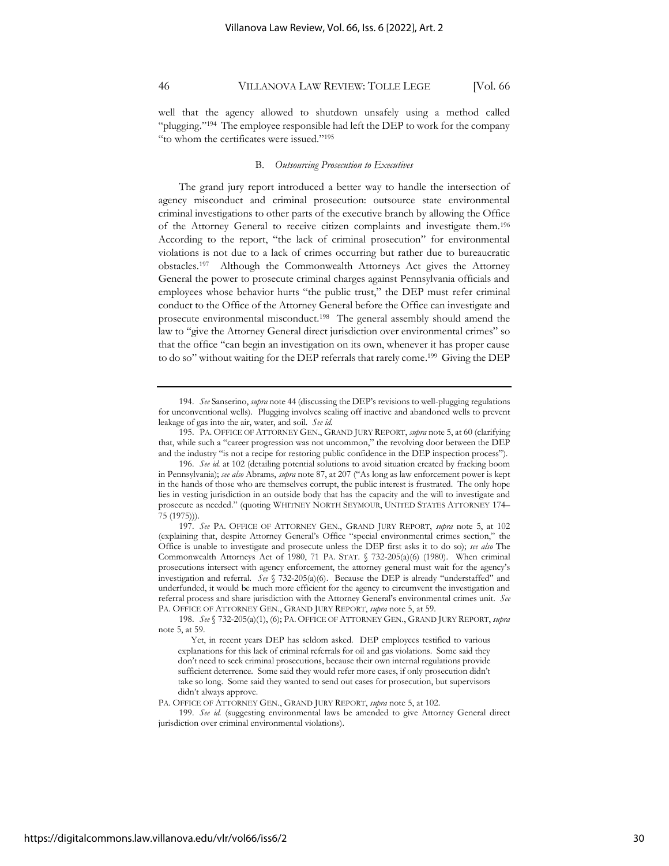well that the agency allowed to shutdown unsafely using a method called "plugging."<sup>194</sup> The employee responsible had left the DEP to work for the company "to whom the certificates were issued."<sup>195</sup>

### B. *Outsourcing Prosecution to Executives*

The grand jury report introduced a better way to handle the intersection of agency misconduct and criminal prosecution: outsource state environmental criminal investigations to other parts of the executive branch by allowing the Office of the Attorney General to receive citizen complaints and investigate them.<sup>196</sup> According to the report, "the lack of criminal prosecution" for environmental violations is not due to a lack of crimes occurring but rather due to bureaucratic obstacles.<sup>197</sup> Although the Commonwealth Attorneys Act gives the Attorney General the power to prosecute criminal charges against Pennsylvania officials and employees whose behavior hurts "the public trust," the DEP must refer criminal conduct to the Office of the Attorney General before the Office can investigate and prosecute environmental misconduct.<sup>198</sup> The general assembly should amend the law to "give the Attorney General direct jurisdiction over environmental crimes" so that the office "can begin an investigation on its own, whenever it has proper cause to do so" without waiting for the DEP referrals that rarely come. 199 Giving the DEP

<sup>194.</sup> *See* Sanserino, *supra* note 44 (discussing the DEP's revisions to well-plugging regulations for unconventional wells). Plugging involves sealing off inactive and abandoned wells to prevent leakage of gas into the air, water, and soil. *See id.*

<sup>195.</sup> PA. OFFICE OF ATTORNEY GEN., GRAND JURY REPORT, *supra* note 5, at 60 (clarifying that, while such a "career progression was not uncommon," the revolving door between the DEP and the industry "is not a recipe for restoring public confidence in the DEP inspection process").

<sup>196.</sup> *See id.* at 102 (detailing potential solutions to avoid situation created by fracking boom in Pennsylvania); *see also* Abrams, *supra* note 87, at 207 ("As long as law enforcement power is kept in the hands of those who are themselves corrupt, the public interest is frustrated. The only hope lies in vesting jurisdiction in an outside body that has the capacity and the will to investigate and prosecute as needed." (quoting WHITNEY NORTH SEYMOUR, UNITED STATES ATTORNEY 174– 75 (1975))).

<sup>197.</sup> *See* PA. OFFICE OF ATTORNEY GEN., GRAND JURY REPORT, *supra* note 5, at 102 (explaining that, despite Attorney General's Office "special environmental crimes section," Office is unable to investigate and prosecute unless the DEP first asks it to do so); *see also* The Commonwealth Attorneys Act of 1980, 71 PA. STAT.  $\sqrt{732-205(a)(6)}$  (1980). When criminal prosecutions intersect with agency enforcement, the attorney general must wait for the agency's investigation and referral. *See* § 732-205(a)(6). Because the DEP is already "understaffed" and underfunded, it would be much more efficient for the agency to circumvent the investigation and referral process and share jurisdiction with the Attorney General's environmental crimes unit. *See* PA. OFFICE OF ATTORNEY GEN., GRAND JURY REPORT, *supra* note 5, at 59.

<sup>198.</sup> *See* § 732-205(a)(1), (6); PA. OFFICE OF ATTORNEY GEN., GRAND JURY REPORT, *supra*  note 5, at 59.

Yet, in recent years DEP has seldom asked. DEP employees testified to various explanations for this lack of criminal referrals for oil and gas violations. Some said they don't need to seek criminal prosecutions, because their own internal regulations provide sufficient deterrence. Some said they would refer more cases, if only prosecution didn't take so long. Some said they wanted to send out cases for prosecution, but supervisors didn't always approve.

PA. OFFICE OF ATTORNEY GEN., GRAND JURY REPORT, *supra* note 5, at 102.

<sup>199.</sup> *See id.* (suggesting environmental laws be amended to give Attorney General direct jurisdiction over criminal environmental violations).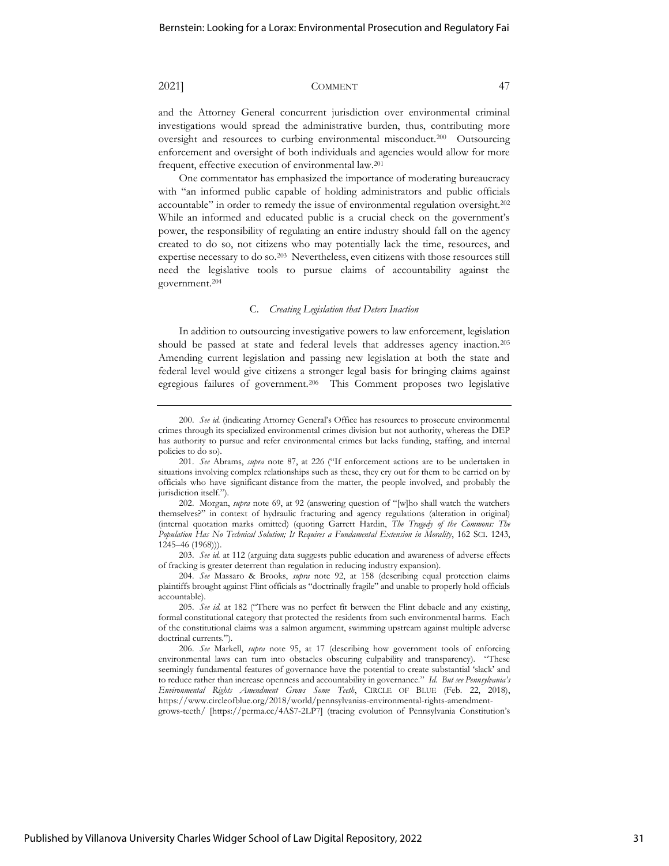and the Attorney General concurrent jurisdiction over environmental criminal investigations would spread the administrative burden, thus, contributing more oversight and resources to curbing environmental misconduct.<sup>200</sup> Outsourcing enforcement and oversight of both individuals and agencies would allow for more frequent, effective execution of environmental law.<sup>201</sup>

One commentator has emphasized the importance of moderating bureaucracy with "an informed public capable of holding administrators and public officials accountable" in order to remedy the issue of environmental regulation oversight.<sup>202</sup> While an informed and educated public is a crucial check on the government's power, the responsibility of regulating an entire industry should fall on the agency created to do so, not citizens who may potentially lack the time, resources, and expertise necessary to do so.<sup>203</sup> Nevertheless, even citizens with those resources still need the legislative tools to pursue claims of accountability against the government.<sup>204</sup>

#### C. *Creating Legislation that Deters Inaction*

In addition to outsourcing investigative powers to law enforcement, legislation should be passed at state and federal levels that addresses agency inaction.<sup>205</sup> Amending current legislation and passing new legislation at both the state and federal level would give citizens a stronger legal basis for bringing claims against egregious failures of government.<sup>206</sup> This Comment proposes two legislative

grows-teeth/ [https://perma.cc/4AS7-2LP7] (tracing evolution of Pennsylvania Constitution's

<sup>200.</sup> *See id.* (indicating Attorney General's Office has resources to prosecute environmental crimes through its specialized environmental crimes division but not authority, whereas the DEP has authority to pursue and refer environmental crimes but lacks funding, staffing, and internal policies to do so).

<sup>201.</sup> *See* Abrams, *supra* note 87, at 226 ("If enforcement actions are to be undertaken in situations involving complex relationships such as these, they cry out for them to be carried on by officials who have significant distance from the matter, the people involved, and probably the jurisdiction itself.").

<sup>202.</sup> Morgan, *supra* note 69, at 92 (answering question of "[w]ho shall watch the watchers themselves?" in context of hydraulic fracturing and agency regulations (alteration in original) (internal quotation marks omitted) (quoting Garrett Hardin, *The Tragedy of the Commons: The Population Has No Technical Solution; It Requires a Fundamental Extension in Morality*, 162 SCI. 1243, 1245–46 (1968))).

<sup>203.</sup> *See id.* at 112 (arguing data suggests public education and awareness of adverse effects of fracking is greater deterrent than regulation in reducing industry expansion).

<sup>204.</sup> *See* Massaro & Brooks, *supra* note 92, at 158 (describing equal protection claims plaintiffs brought against Flint officials as "doctrinally fragile" and unable to properly hold officials accountable).

<sup>205.</sup> *See id.* at 182 ("There was no perfect fit between the Flint debacle and any existing, formal constitutional category that protected the residents from such environmental harms. Each of the constitutional claims was a salmon argument, swimming upstream against multiple adverse doctrinal currents.").

<sup>206.</sup> *See* Markell, *supra* note 95, at 17 (describing how government tools of enforcing environmental laws can turn into obstacles obscuring culpability and transparency). "These seemingly fundamental features of governance have the potential to create substantial 'slack' and to reduce rather than increase openness and accountability in governance." *Id. But see Pennsylvania's Environmental Rights Amendment Grows Some Teeth*, CIRCLE OF BLUE (Feb. 22, 2018), https://www.circleofblue.org/2018/world/pennsylvanias-environmental-rights-amendment-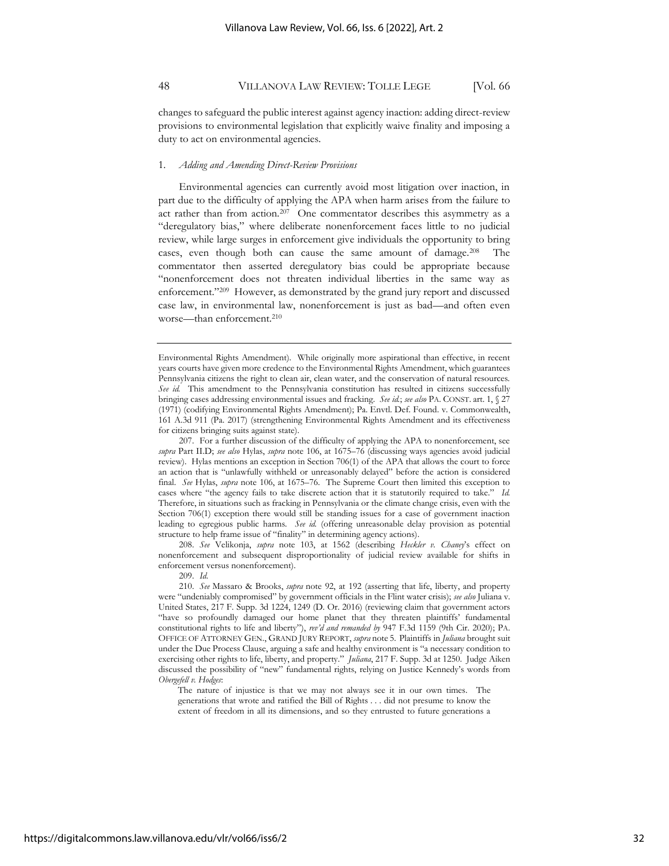changes to safeguard the public interest against agency inaction: adding direct-review provisions to environmental legislation that explicitly waive finality and imposing a duty to act on environmental agencies.

#### 1. *Adding and Amending Direct-Review Provisions*

Environmental agencies can currently avoid most litigation over inaction, in part due to the difficulty of applying the APA when harm arises from the failure to act rather than from action.<sup>207</sup> One commentator describes this asymmetry as a "deregulatory bias," where deliberate nonenforcement faces little to no judicial review, while large surges in enforcement give individuals the opportunity to bring cases, even though both can cause the same amount of damage.<sup>208</sup> The commentator then asserted deregulatory bias could be appropriate because "nonenforcement does not threaten individual liberties in the same way as enforcement."<sup>209</sup> However, as demonstrated by the grand jury report and discussed case law, in environmental law, nonenforcement is just as bad—and often even worse—than enforcement.<sup>210</sup>

Environmental Rights Amendment). While originally more aspirational than effective, in recent years courts have given more credence to the Environmental Rights Amendment, which guarantees Pennsylvania citizens the right to clean air, clean water, and the conservation of natural resources. *See id.* This amendment to the Pennsylvania constitution has resulted in citizens successfully bringing cases addressing environmental issues and fracking. *See id.*; *see also* PA. CONST. art. 1, § 27 (1971) (codifying Environmental Rights Amendment); Pa. Envtl. Def. Found. v. Commonwealth, 161 A.3d 911 (Pa. 2017) (strengthening Environmental Rights Amendment and its effectiveness for citizens bringing suits against state).

207. For a further discussion of the difficulty of applying the APA to nonenforcement, see *supra* Part II.D; *see also* Hylas, *supra* note 106, at 1675–76 (discussing ways agencies avoid judicial review). Hylas mentions an exception in Section 706(1) of the APA that allows the court to force an action that is "unlawfully withheld or unreasonably delayed" before the action is considered final. *See* Hylas, *supra* note 106, at 1675–76. The Supreme Court then limited this exception to cases where "the agency fails to take discrete action that it is statutorily required to take." *Id.* Therefore, in situations such as fracking in Pennsylvania or the climate change crisis, even with the Section 706(1) exception there would still be standing issues for a case of government inaction leading to egregious public harms. *See id.* (offering unreasonable delay provision as potential structure to help frame issue of "finality" in determining agency actions).

208. *See* Velikonja, *supra* note 103, at 1562 (describing *Heckler v. Chaney*'s effect on nonenforcement and subsequent disproportionality of judicial review available for shifts in enforcement versus nonenforcement).

209. *Id.*

210. *See* Massaro & Brooks, *supra* note 92, at 192 (asserting that life, liberty, and property were "undeniably compromised" by government officials in the Flint water crisis); *see also* Juliana v. United States, 217 F. Supp. 3d 1224, 1249 (D. Or. 2016) (reviewing claim that government actors "have so profoundly damaged our home planet that they threaten plaintiffs' fundamental constitutional rights to life and liberty"), *rev'd and remanded by* 947 F.3d 1159 (9th Cir. 2020); PA. OFFICE OF ATTORNEY GEN., GRAND JURY REPORT, *supra* note 5. Plaintiffs in *Juliana* brought suit under the Due Process Clause, arguing a safe and healthy environment is "a necessary condition to exercising other rights to life, liberty, and property." *Juliana*, 217 F. Supp. 3d at 1250. Judge Aiken discussed the possibility of "new" fundamental rights, relying on Justice Kennedy's words from *Obergefell v. Hodges*:

The nature of injustice is that we may not always see it in our own times. The generations that wrote and ratified the Bill of Rights . . . did not presume to know the extent of freedom in all its dimensions, and so they entrusted to future generations a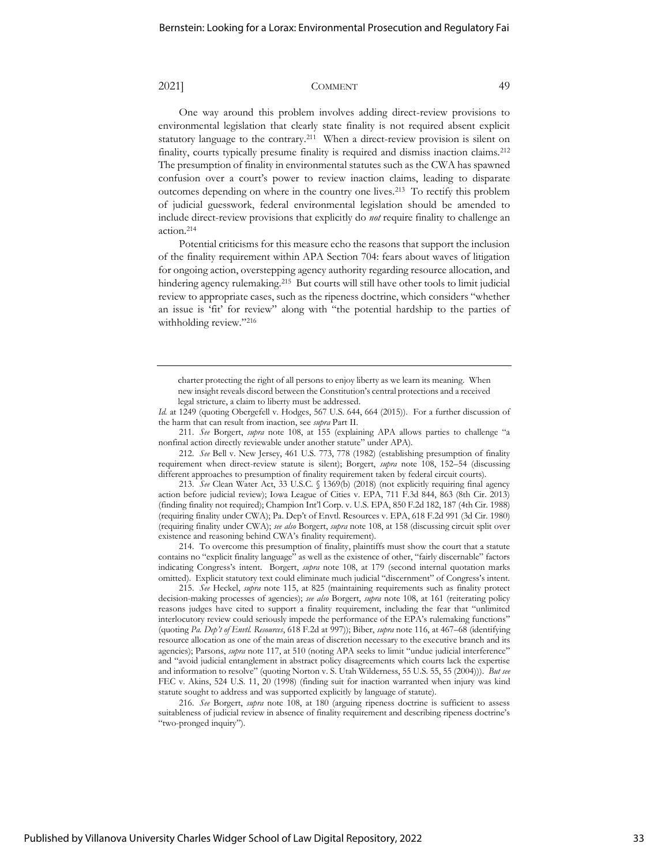One way around this problem involves adding direct-review provisions to environmental legislation that clearly state finality is not required absent explicit statutory language to the contrary.<sup>211</sup> When a direct-review provision is silent on finality, courts typically presume finality is required and dismiss inaction claims.<sup>212</sup> The presumption of finality in environmental statutes such as the CWA has spawned confusion over a court's power to review inaction claims, leading to disparate outcomes depending on where in the country one lives.<sup>213</sup> To rectify this problem of judicial guesswork, federal environmental legislation should be amended to include direct-review provisions that explicitly do *not* require finality to challenge an action.<sup>214</sup>

Potential criticisms for this measure echo the reasons that support the inclusion of the finality requirement within APA Section 704: fears about waves of litigation for ongoing action, overstepping agency authority regarding resource allocation, and hindering agency rulemaking.<sup>215</sup> But courts will still have other tools to limit judicial review to appropriate cases, such as the ripeness doctrine, which considers "whether an issue is 'fit' for review" along with "the potential hardship to the parties of withholding review."216

Id. at 1249 (quoting Obergefell v. Hodges, 567 U.S. 644, 664 (2015)). For a further discussion of the harm that can result from inaction, see *supra* Part II.

211. *See* Borgert, *supra* note 108, at 155 (explaining APA allows parties to challenge "a nonfinal action directly reviewable under another statute" under APA).

212. *See* Bell v. New Jersey, 461 U.S. 773, 778 (1982) (establishing presumption of finality requirement when direct-review statute is silent); Borgert, *supra* note 108, 152–54 (discussing different approaches to presumption of finality requirement taken by federal circuit courts).

213. *See* Clean Water Act, 33 U.S.C. § 1369(b) (2018) (not explicitly requiring final agency action before judicial review); Iowa League of Cities v. EPA, 711 F.3d 844, 863 (8th Cir. 2013) (finding finality not required); Champion Int'l Corp. v. U.S. EPA, 850 F.2d 182, 187 (4th Cir. 1988) (requiring finality under CWA); Pa. Dep't of Envtl. Resources v. EPA, 618 F.2d 991 (3d Cir. 1980) (requiring finality under CWA); *see also* Borgert, *supra* note 108, at 158 (discussing circuit split over existence and reasoning behind CWA's finality requirement).

214. To overcome this presumption of finality, plaintiffs must show the court that a statute contains no "explicit finality language" as well as the existence of other, "fairly discernable" factors indicating Congress's intent. Borgert, *supra* note 108, at 179 (second internal quotation marks omitted). Explicit statutory text could eliminate much judicial "discernment" of Congress's intent.

215. *See* Heckel, *supra* note 115, at 825 (maintaining requirements such as finality protect decision-making processes of agencies); *see also* Borgert, *supra* note 108, at 161 (reiterating policy reasons judges have cited to support a finality requirement, including the fear that "unlimited interlocutory review could seriously impede the performance of the EPA's rulemaking functions" (quoting *Pa. Dep't of Envtl. Resources*, 618 F.2d at 997)); Biber, *supra* note 116, at 467–68 (identifying resource allocation as one of the main areas of discretion necessary to the executive branch and its agencies); Parsons, *supra* note 117, at 510 (noting APA seeks to limit "undue judicial interference" and "avoid judicial entanglement in abstract policy disagreements which courts lack the expertise and information to resolve" (quoting Norton v. S. Utah Wilderness, 55 U.S. 55, 55 (2004))). *But see* FEC v. Akins, 524 U.S. 11, 20 (1998) (finding suit for inaction warranted when injury was kind statute sought to address and was supported explicitly by language of statute).

216. *See* Borgert, *supra* note 108, at 180 (arguing ripeness doctrine is sufficient to assess suitableness of judicial review in absence of finality requirement and describing ripeness doctrine's "two-pronged inquiry").

charter protecting the right of all persons to enjoy liberty as we learn its meaning. When new insight reveals discord between the Constitution's central protections and a received legal stricture, a claim to liberty must be addressed.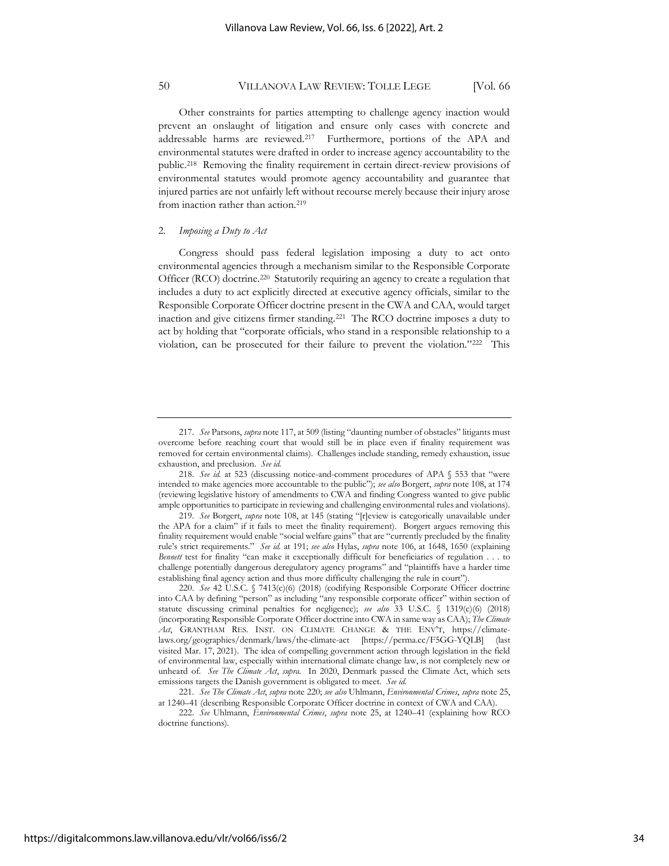Other constraints for parties attempting to challenge agency inaction would prevent an onslaught of litigation and ensure only cases with concrete and addressable harms are reviewed.<sup>217</sup> Furthermore, portions of the APA and environmental statutes were drafted in order to increase agency accountability to the public.<sup>218</sup> Removing the finality requirement in certain direct-review provisions of environmental statutes would promote agency accountability and guarantee that injured parties are not unfairly left without recourse merely because their injury arose from inaction rather than action.<sup>219</sup>

#### 2. *Imposing a Duty to Act*

Congress should pass federal legislation imposing a duty to act onto environmental agencies through a mechanism similar to the Responsible Corporate Officer (RCO) doctrine.<sup>220</sup> Statutorily requiring an agency to create a regulation that includes a duty to act explicitly directed at executive agency officials, similar to the Responsible Corporate Officer doctrine present in the CWA and CAA, would target inaction and give citizens firmer standing.<sup>221</sup> The RCO doctrine imposes a duty to act by holding that "corporate officials, who stand in a responsible relationship to a violation, can be prosecuted for their failure to prevent the violation."<sup>222</sup> This

<sup>217.</sup> *See* Parsons, *supra* note 117, at 509 (listing "daunting number of obstacles" litigants must overcome before reaching court that would still be in place even if finality requirement was removed for certain environmental claims). Challenges include standing, remedy exhaustion, issue exhaustion, and preclusion. *See id.*

<sup>218.</sup> *See id.* at 523 (discussing notice-and-comment procedures of APA § 553 that "were intended to make agencies more accountable to the public"); *see also* Borgert, *supra* note 108, at 174 (reviewing legislative history of amendments to CWA and finding Congress wanted to give public ample opportunities to participate in reviewing and challenging environmental rules and violations).

<sup>219.</sup> *See* Borgert, *supra* note 108, at 145 (stating "[r]eview is categorically unavailable under the APA for a claim" if it fails to meet the finality requirement). Borgert argues removing this finality requirement would enable "social welfare gains" that are "currently precluded by the finality rule's strict requirements." *See id.* at 191; *see also* Hylas, *supra* note 106, at 1648, 1650 (explaining *Bennett* test for finality "can make it exceptionally difficult for beneficiaries of regulation . . . to challenge potentially dangerous deregulatory agency programs" and "plaintiffs have a harder time establishing final agency action and thus more difficulty challenging the rule in court").

<sup>220.</sup> *See* 42 U.S.C. § 7413(c)(6) (2018) (codifying Responsible Corporate Officer doctrine into CAA by defining "person" as including "any responsible corporate officer" within section of statute discussing criminal penalties for negligence); *see also* 33 U.S.C. § 1319(c)(6) (2018) (incorporating Responsible Corporate Officer doctrine into CWA in same way as CAA); *The Climate Act*, GRANTHAM RES. INST. ON CLIMATE CHANGE & THE ENV'T, https://climatelaws.org/geographies/denmark/laws/the-climate-act [https://perma.cc/F5GG-YQLB] (last visited Mar. 17, 2021). The idea of compelling government action through legislation in the field of environmental law, especially within international climate change law, is not completely new or unheard of. *See The Climate Act*, *supra.* In 2020, Denmark passed the Climate Act, which sets emissions targets the Danish government is obligated to meet. *See id.*

<sup>221.</sup> *See The Climate Act*, *supra* note 220; *see also* Uhlmann, *Environmental Crimes*, *supra* note 25, at 1240–41 (describing Responsible Corporate Officer doctrine in context of CWA and CAA).

<sup>222.</sup> *See* Uhlmann, *Environmental Crimes*, *supra* note 25, at 1240–41 (explaining how RCO doctrine functions).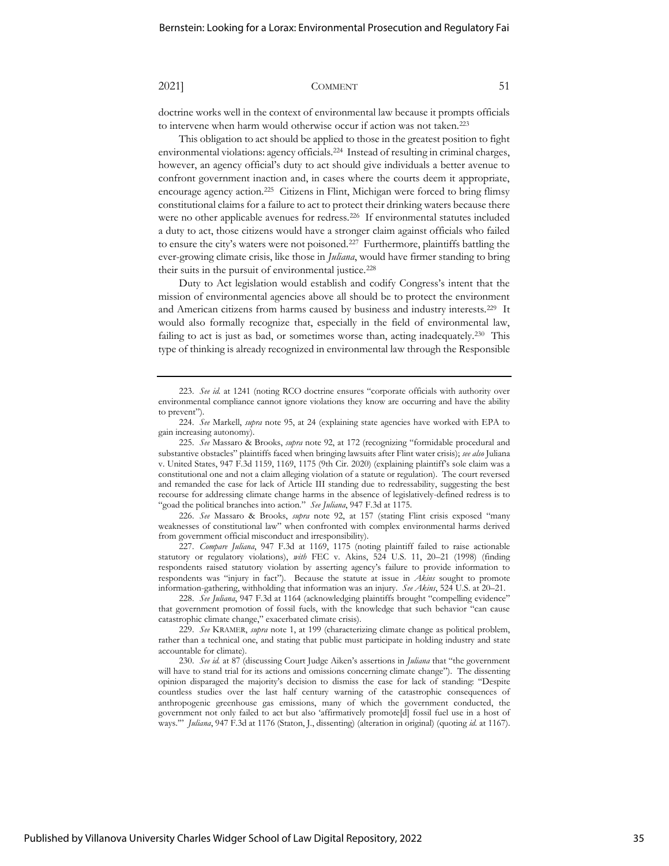doctrine works well in the context of environmental law because it prompts officials to intervene when harm would otherwise occur if action was not taken.<sup>223</sup>

This obligation to act should be applied to those in the greatest position to fight environmental violations: agency officials.<sup>224</sup> Instead of resulting in criminal charges, however, an agency official's duty to act should give individuals a better avenue to confront government inaction and, in cases where the courts deem it appropriate, encourage agency action.<sup>225</sup> Citizens in Flint, Michigan were forced to bring flimsy constitutional claims for a failure to act to protect their drinking waters because there were no other applicable avenues for redress.<sup>226</sup> If environmental statutes included a duty to act, those citizens would have a stronger claim against officials who failed to ensure the city's waters were not poisoned.<sup>227</sup> Furthermore, plaintiffs battling the ever-growing climate crisis, like those in *Juliana*, would have firmer standing to bring their suits in the pursuit of environmental justice.<sup>228</sup>

Duty to Act legislation would establish and codify Congress's intent that the mission of environmental agencies above all should be to protect the environment and American citizens from harms caused by business and industry interests.<sup>229</sup> It would also formally recognize that, especially in the field of environmental law, failing to act is just as bad, or sometimes worse than, acting inadequately.<sup>230</sup> This type of thinking is already recognized in environmental law through the Responsible

226. *See* Massaro & Brooks, *supra* note 92, at 157 (stating Flint crisis exposed "many weaknesses of constitutional law" when confronted with complex environmental harms derived from government official misconduct and irresponsibility).

227. *Compare Juliana*, 947 F.3d at 1169, 1175 (noting plaintiff failed to raise actionable statutory or regulatory violations), *with* FEC v. Akins, 524 U.S. 11, 20–21 (1998) (finding respondents raised statutory violation by asserting agency's failure to provide information to respondents was "injury in fact"). Because the statute at issue in *Akins* sought to promote information-gathering, withholding that information was an injury*. See Akins*, 524 U.S. at 20–21.

228. *See Juliana*, 947 F.3d at 1164 (acknowledging plaintiffs brought "compelling evidence" that government promotion of fossil fuels, with the knowledge that such behavior "can cause catastrophic climate change," exacerbated climate crisis).

229. *See* KRAMER, *supra* note 1, at 199 (characterizing climate change as political problem, rather than a technical one, and stating that public must participate in holding industry and state accountable for climate).

230. *See id.* at 87 (discussing Court Judge Aiken's assertions in *Juliana* that "the government will have to stand trial for its actions and omissions concerning climate change"). The dissenting opinion disparaged the majority's decision to dismiss the case for lack of standing: "Despite countless studies over the last half century warning of the catastrophic consequences of anthropogenic greenhouse gas emissions, many of which the government conducted, the government not only failed to act but also 'affirmatively promote[d] fossil fuel use in a host of ways.'" *Juliana*, 947 F.3d at 1176 (Staton, J., dissenting) (alteration in original) (quoting *id.* at 1167).

<sup>223.</sup> *See id.* at 1241 (noting RCO doctrine ensures "corporate officials with authority over environmental compliance cannot ignore violations they know are occurring and have the ability to prevent").

<sup>224.</sup> *See* Markell, *supra* note 95, at 24 (explaining state agencies have worked with EPA to gain increasing autonomy).

<sup>225.</sup> *See* Massaro & Brooks, *supra* note 92, at 172 (recognizing "formidable procedural and substantive obstacles" plaintiffs faced when bringing lawsuits after Flint water crisis); *see also* Juliana v. United States, 947 F.3d 1159, 1169, 1175 (9th Cir. 2020) (explaining plaintiff's sole claim was a constitutional one and not a claim alleging violation of a statute or regulation). The court reversed and remanded the case for lack of Article III standing due to redressability, suggesting the best recourse for addressing climate change harms in the absence of legislatively-defined redress is to "goad the political branches into action." *See Juliana*, 947 F.3d at 1175.